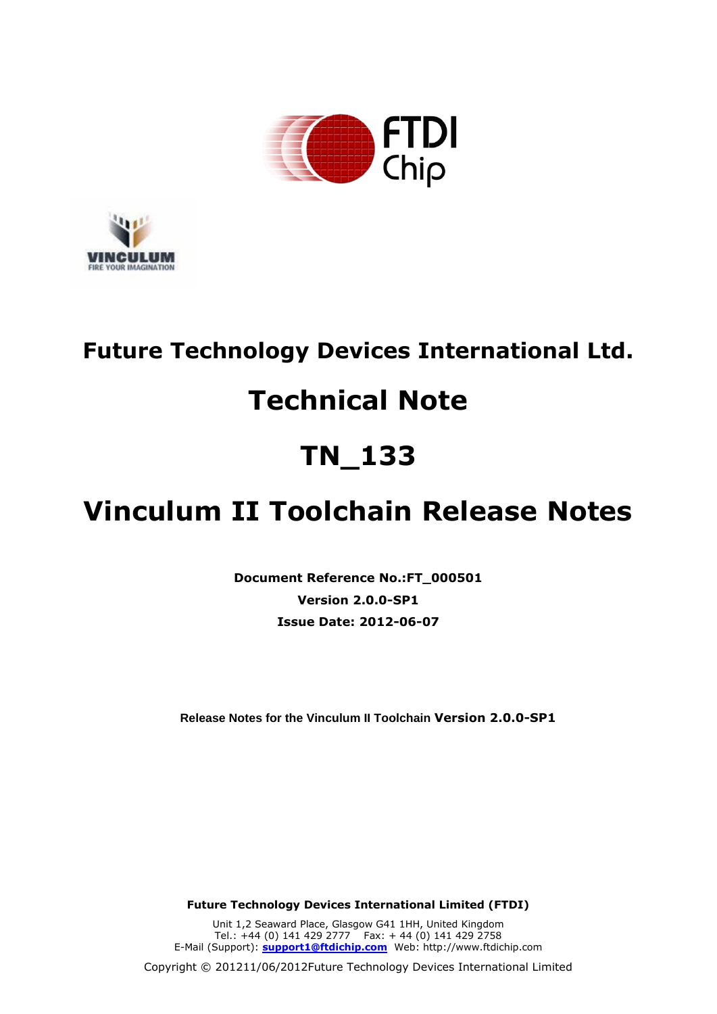



# **Future Technology Devices International Ltd.**

# **Technical Note**

# **TN\_133**

# **Vinculum II Toolchain Release Notes**

**Document Reference No.:FT\_000501 Version 2.0.0-SP1 Issue Date: 2012-06-07**

**Release Notes for the Vinculum II Toolchain Version 2.0.0-SP1**

**Future Technology Devices International Limited (FTDI)**

Unit 1,2 Seaward Place, Glasgow G41 1HH, United Kingdom Tel.: +44 (0) 141 429 2777 Fax: + 44 (0) 141 429 2758 E-Mail (Support): **support1@ftdichip.com** Web: http://www.ftdichip.com

Copyright © 201211/06/2012Future Technology Devices International Limited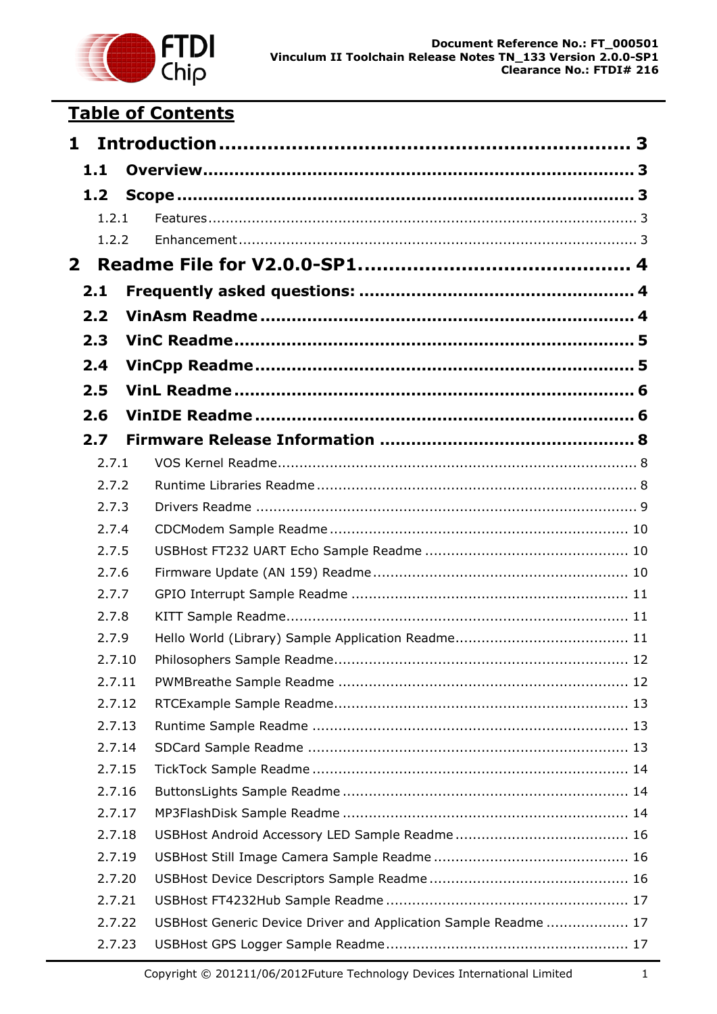

# **Table of Contents**

| 1            |                |  |                                                                 |  |  |
|--------------|----------------|--|-----------------------------------------------------------------|--|--|
|              | 1.1            |  |                                                                 |  |  |
|              | 1.2            |  |                                                                 |  |  |
|              | 1.2.1          |  |                                                                 |  |  |
|              | 1.2.2          |  |                                                                 |  |  |
| $\mathbf{2}$ |                |  |                                                                 |  |  |
|              | 2.1            |  |                                                                 |  |  |
|              | 2.2            |  |                                                                 |  |  |
|              | 2.3            |  |                                                                 |  |  |
|              | 2.4            |  |                                                                 |  |  |
|              | 2.5            |  |                                                                 |  |  |
|              |                |  |                                                                 |  |  |
|              | 2.6            |  |                                                                 |  |  |
|              | 2.7            |  |                                                                 |  |  |
|              | 2.7.1          |  |                                                                 |  |  |
|              | 2.7.2          |  |                                                                 |  |  |
|              | 2.7.3<br>2.7.4 |  |                                                                 |  |  |
|              | 2.7.5          |  |                                                                 |  |  |
|              | 2.7.6          |  |                                                                 |  |  |
|              | 2.7.7          |  |                                                                 |  |  |
|              | 2.7.8          |  |                                                                 |  |  |
|              | 2.7.9          |  |                                                                 |  |  |
|              | 2.7.10         |  |                                                                 |  |  |
|              | 2.7.11         |  |                                                                 |  |  |
|              | 2.7.12         |  |                                                                 |  |  |
|              | 2.7.13         |  |                                                                 |  |  |
|              | 2.7.14         |  |                                                                 |  |  |
|              | 2.7.15         |  |                                                                 |  |  |
|              | 2.7.16         |  |                                                                 |  |  |
|              | 2.7.17         |  |                                                                 |  |  |
|              | 2.7.18         |  |                                                                 |  |  |
|              | 2.7.19         |  |                                                                 |  |  |
|              | 2.7.20         |  |                                                                 |  |  |
|              | 2.7.21         |  |                                                                 |  |  |
|              | 2.7.22         |  | USBHost Generic Device Driver and Application Sample Readme  17 |  |  |
|              | 2.7.23         |  |                                                                 |  |  |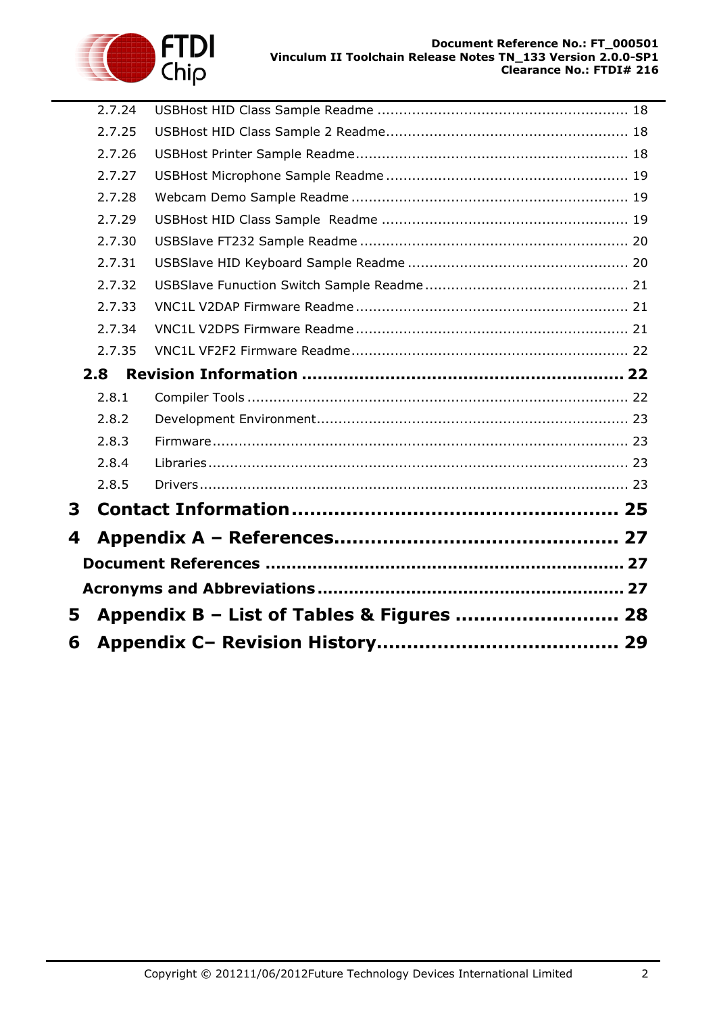



|   | 2.7.24 |                                           |  |  |  |  |  |
|---|--------|-------------------------------------------|--|--|--|--|--|
|   | 2.7.25 |                                           |  |  |  |  |  |
|   | 2.7.26 |                                           |  |  |  |  |  |
|   | 2.7.27 |                                           |  |  |  |  |  |
|   | 2.7.28 |                                           |  |  |  |  |  |
|   | 2.7.29 |                                           |  |  |  |  |  |
|   | 2.7.30 |                                           |  |  |  |  |  |
|   | 2.7.31 |                                           |  |  |  |  |  |
|   | 2.7.32 |                                           |  |  |  |  |  |
|   | 2.7.33 |                                           |  |  |  |  |  |
|   | 2.7.34 |                                           |  |  |  |  |  |
|   | 2.7.35 |                                           |  |  |  |  |  |
|   | 2.8    |                                           |  |  |  |  |  |
|   | 2.8.1  |                                           |  |  |  |  |  |
|   | 2.8.2  |                                           |  |  |  |  |  |
|   | 2.8.3  |                                           |  |  |  |  |  |
|   | 2.8.4  |                                           |  |  |  |  |  |
|   | 2.8.5  |                                           |  |  |  |  |  |
| 3 |        |                                           |  |  |  |  |  |
| 4 |        |                                           |  |  |  |  |  |
|   |        |                                           |  |  |  |  |  |
|   |        |                                           |  |  |  |  |  |
| 5 |        | Appendix B - List of Tables & Figures  28 |  |  |  |  |  |
|   |        |                                           |  |  |  |  |  |
| 6 |        |                                           |  |  |  |  |  |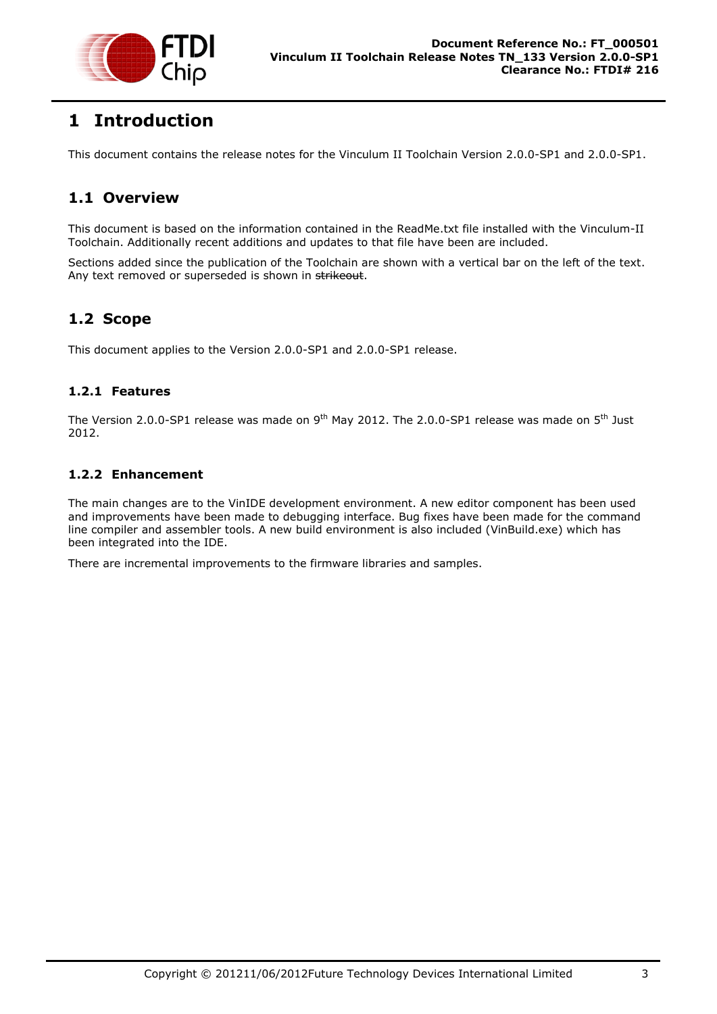

# <span id="page-3-0"></span>**1 Introduction**

This document contains the release notes for the Vinculum II Toolchain Version 2.0.0-SP1 and 2.0.0-SP1.

## <span id="page-3-1"></span>**1.1 Overview**

This document is based on the information contained in the ReadMe.txt file installed with the Vinculum-II Toolchain. Additionally recent additions and updates to that file have been are included.

Sections added since the publication of the Toolchain are shown with a vertical bar on the left of the text. Any text removed or superseded is shown in strikeout.

## <span id="page-3-2"></span>**1.2 Scope**

This document applies to the Version 2.0.0-SP1 and 2.0.0-SP1 release.

### <span id="page-3-3"></span>**1.2.1 Features**

The Version 2.0.0-SP1 release was made on 9<sup>th</sup> May 2012. The 2.0.0-SP1 release was made on 5<sup>th</sup> Just 2012.

#### <span id="page-3-4"></span>**1.2.2 Enhancement**

The main changes are to the VinIDE development environment. A new editor component has been used and improvements have been made to debugging interface. Bug fixes have been made for the command line compiler and assembler tools. A new build environment is also included (VinBuild.exe) which has been integrated into the IDE.

There are incremental improvements to the firmware libraries and samples.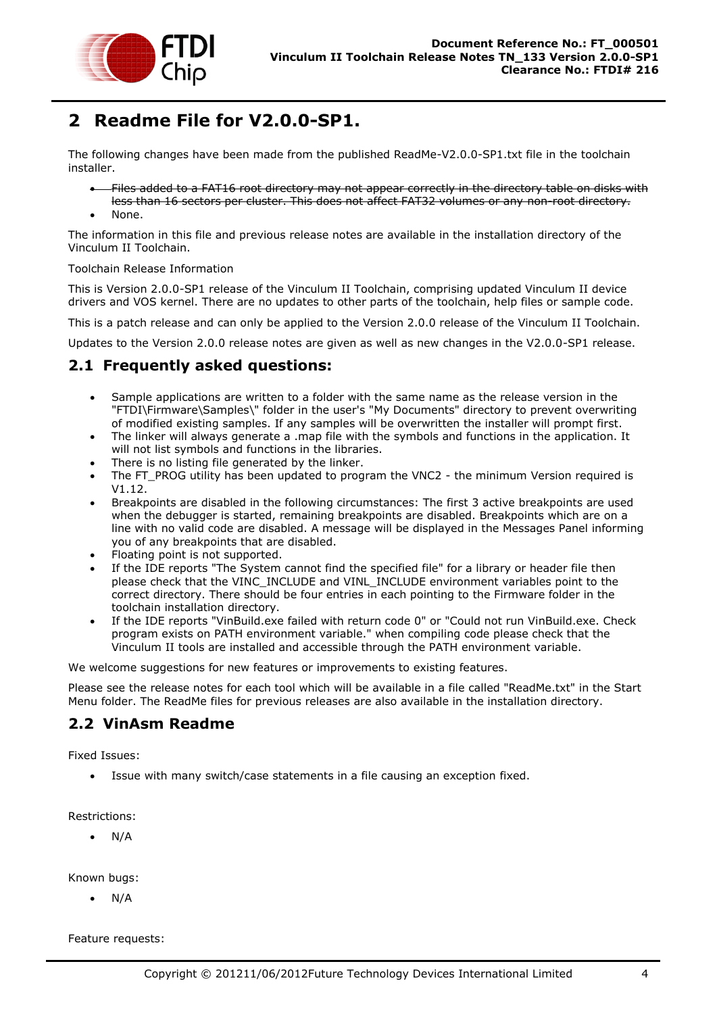

# <span id="page-4-0"></span>**2 Readme File for V2.0.0-SP1.**

The following changes have been made from the published ReadMe-V2.0.0-SP1.txt file in the toolchain installer.

- Files added to a FAT16 root directory may not appear correctly in the directory table on disks with less than 16 sectors per cluster. This does not affect FAT32 volumes or any non-root directory.
- None.

The information in this file and previous release notes are available in the installation directory of the Vinculum II Toolchain.

#### Toolchain Release Information

This is Version 2.0.0-SP1 release of the Vinculum II Toolchain, comprising updated Vinculum II device drivers and VOS kernel. There are no updates to other parts of the toolchain, help files or sample code.

This is a patch release and can only be applied to the Version 2.0.0 release of the Vinculum II Toolchain.

Updates to the Version 2.0.0 release notes are given as well as new changes in the V2.0.0-SP1 release.

### <span id="page-4-1"></span>**2.1 Frequently asked questions:**

- Sample applications are written to a folder with the same name as the release version in the "FTDI\Firmware\Samples\" folder in the user's "My Documents" directory to prevent overwriting of modified existing samples. If any samples will be overwritten the installer will prompt first.
- The linker will always generate a .map file with the symbols and functions in the application. It will not list symbols and functions in the libraries.
- There is no listing file generated by the linker.
- The FT\_PROG utility has been updated to program the VNC2 the minimum Version required is V1.12.
- Breakpoints are disabled in the following circumstances: The first 3 active breakpoints are used when the debugger is started, remaining breakpoints are disabled. Breakpoints which are on a line with no valid code are disabled. A message will be displayed in the Messages Panel informing you of any breakpoints that are disabled.
- Floating point is not supported.
- If the IDE reports "The System cannot find the specified file" for a library or header file then please check that the VINC\_INCLUDE and VINL\_INCLUDE environment variables point to the correct directory. There should be four entries in each pointing to the Firmware folder in the toolchain installation directory.
- If the IDE reports "VinBuild.exe failed with return code 0" or "Could not run VinBuild.exe. Check program exists on PATH environment variable." when compiling code please check that the Vinculum II tools are installed and accessible through the PATH environment variable.

We welcome suggestions for new features or improvements to existing features.

Please see the release notes for each tool which will be available in a file called "ReadMe.txt" in the Start Menu folder. The ReadMe files for previous releases are also available in the installation directory.

### <span id="page-4-2"></span>**2.2 VinAsm Readme**

Fixed Issues:

Issue with many switch/case statements in a file causing an exception fixed.

Restrictions:

N/A

Known bugs:

N/A

Feature requests: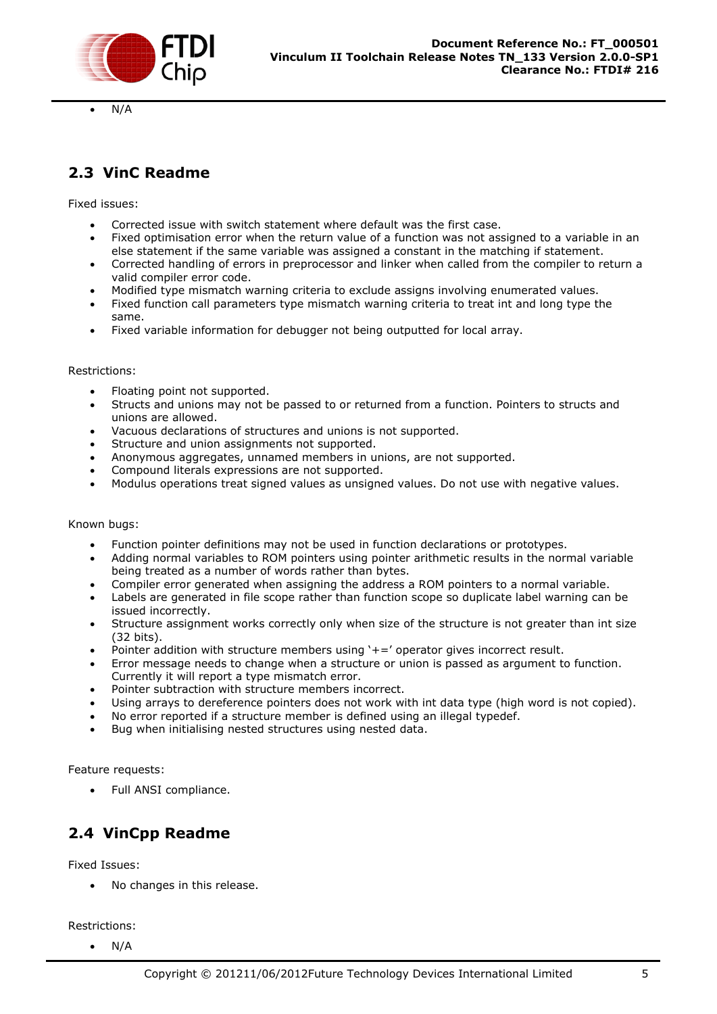

N/A

## <span id="page-5-0"></span>**2.3 VinC Readme**

Fixed issues:

- Corrected issue with switch statement where default was the first case.
- Fixed optimisation error when the return value of a function was not assigned to a variable in an else statement if the same variable was assigned a constant in the matching if statement.
- Corrected handling of errors in preprocessor and linker when called from the compiler to return a valid compiler error code.
- Modified type mismatch warning criteria to exclude assigns involving enumerated values.
- Fixed function call parameters type mismatch warning criteria to treat int and long type the same.
- Fixed variable information for debugger not being outputted for local array.

#### Restrictions:

- Floating point not supported.
- Structs and unions may not be passed to or returned from a function. Pointers to structs and unions are allowed.
- Vacuous declarations of structures and unions is not supported.
- Structure and union assignments not supported.
- Anonymous aggregates, unnamed members in unions, are not supported.
- Compound literals expressions are not supported.
- Modulus operations treat signed values as unsigned values. Do not use with negative values.

#### Known bugs:

- Function pointer definitions may not be used in function declarations or prototypes.
- Adding normal variables to ROM pointers using pointer arithmetic results in the normal variable being treated as a number of words rather than bytes.
- Compiler error generated when assigning the address a ROM pointers to a normal variable.
- Labels are generated in file scope rather than function scope so duplicate label warning can be issued incorrectly.
- Structure assignment works correctly only when size of the structure is not greater than int size (32 bits).
- Pointer addition with structure members using '+=' operator gives incorrect result.
- Error message needs to change when a structure or union is passed as argument to function. Currently it will report a type mismatch error.
- Pointer subtraction with structure members incorrect.
- Using arrays to dereference pointers does not work with int data type (high word is not copied).
- No error reported if a structure member is defined using an illegal typedef.
- Bug when initialising nested structures using nested data.

Feature requests:

Full ANSI compliance.

## <span id="page-5-1"></span>**2.4 VinCpp Readme**

Fixed Issues:

No changes in this release.

Restrictions:

 $\bullet$  N/A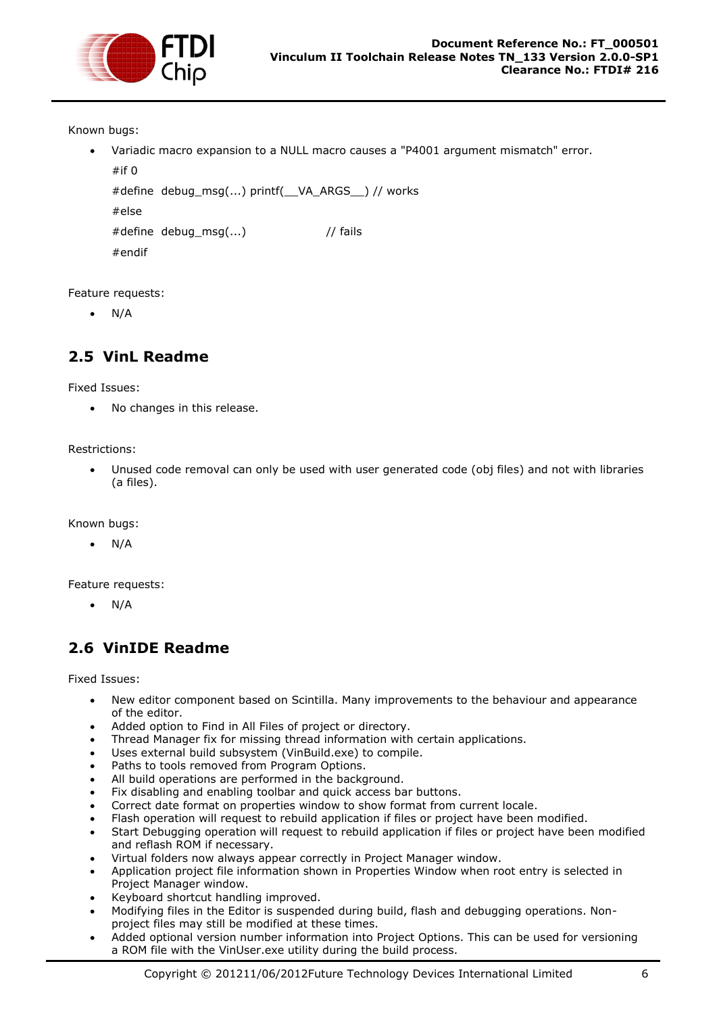

Known bugs:

 Variadic macro expansion to a NULL macro causes a "P4001 argument mismatch" error.  $#$ if  $\Omega$ 

```
#define debug_msg(...) printf(__VA_ARGS__) // works
#else
```

```
#define debug msg(...) // fails
```

```
#endif
```
Feature requests:

 $\bullet$  N/A

## <span id="page-6-0"></span>**2.5 VinL Readme**

Fixed Issues:

No changes in this release.

Restrictions:

 Unused code removal can only be used with user generated code (obj files) and not with libraries (a files).

Known bugs:

N/A

Feature requests:

N/A

## <span id="page-6-1"></span>**2.6 VinIDE Readme**

Fixed Issues:

- New editor component based on Scintilla. Many improvements to the behaviour and appearance of the editor.
- Added option to Find in All Files of project or directory.
- Thread Manager fix for missing thread information with certain applications.
- Uses external build subsystem (VinBuild.exe) to compile.
- Paths to tools removed from Program Options.
- All build operations are performed in the background.
- Fix disabling and enabling toolbar and quick access bar buttons.
- Correct date format on properties window to show format from current locale.
- Flash operation will request to rebuild application if files or project have been modified.
- Start Debugging operation will request to rebuild application if files or project have been modified and reflash ROM if necessary.
- Virtual folders now always appear correctly in Project Manager window.
- Application project file information shown in Properties Window when root entry is selected in Project Manager window.
- Keyboard shortcut handling improved.
- Modifying files in the Editor is suspended during build, flash and debugging operations. Nonproject files may still be modified at these times.
- Added optional version number information into Project Options. This can be used for versioning a ROM file with the VinUser.exe utility during the build process.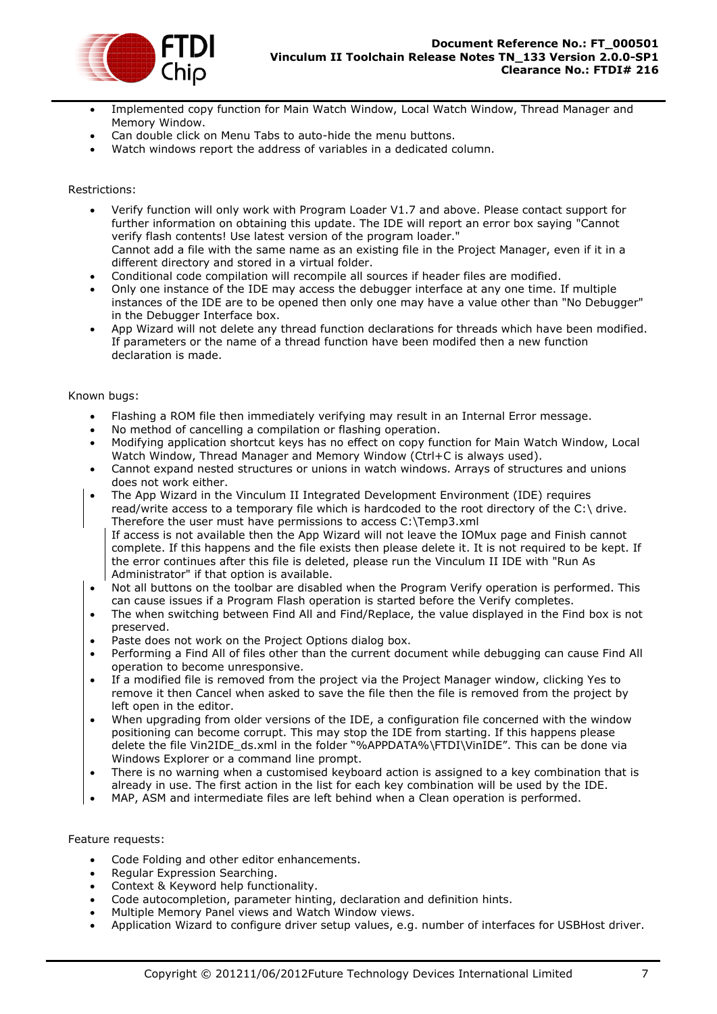

- Implemented copy function for Main Watch Window, Local Watch Window, Thread Manager and Memory Window.
- Can double click on Menu Tabs to auto-hide the menu buttons.
- Watch windows report the address of variables in a dedicated column.

#### Restrictions:

- Verify function will only work with Program Loader V1.7 and above. Please contact support for further information on obtaining this update. The IDE will report an error box saying "Cannot verify flash contents! Use latest version of the program loader." Cannot add a file with the same name as an existing file in the Project Manager, even if it in a different directory and stored in a virtual folder.
- Conditional code compilation will recompile all sources if header files are modified.
- Only one instance of the IDE may access the debugger interface at any one time. If multiple instances of the IDE are to be opened then only one may have a value other than "No Debugger" in the Debugger Interface box.
- App Wizard will not delete any thread function declarations for threads which have been modified. If parameters or the name of a thread function have been modifed then a new function declaration is made.

#### Known bugs:

- Flashing a ROM file then immediately verifying may result in an Internal Error message.
- No method of cancelling a compilation or flashing operation.
- Modifying application shortcut keys has no effect on copy function for Main Watch Window, Local Watch Window, Thread Manager and Memory Window (Ctrl+C is always used).
- Cannot expand nested structures or unions in watch windows. Arrays of structures and unions does not work either.
- The App Wizard in the Vinculum II Integrated Development Environment (IDE) requires read/write access to a temporary file which is hardcoded to the root directory of the C:\ drive. Therefore the user must have permissions to access C:\Temp3.xml If access is not available then the App Wizard will not leave the IOMux page and Finish cannot complete. If this happens and the file exists then please delete it. It is not required to be kept. If the error continues after this file is deleted, please run the Vinculum II IDE with "Run As Administrator" if that option is available.
- Not all buttons on the toolbar are disabled when the Program Verify operation is performed. This can cause issues if a Program Flash operation is started before the Verify completes.
- The when switching between Find All and Find/Replace, the value displayed in the Find box is not preserved.
- Paste does not work on the Project Options dialog box.
- Performing a Find All of files other than the current document while debugging can cause Find All operation to become unresponsive.
- If a modified file is removed from the project via the Project Manager window, clicking Yes to remove it then Cancel when asked to save the file then the file is removed from the project by left open in the editor.
- When upgrading from older versions of the IDE, a configuration file concerned with the window positioning can become corrupt. This may stop the IDE from starting. If this happens please delete the file Vin2IDE\_ds.xml in the folder "%APPDATA%\FTDI\VinIDE". This can be done via Windows Explorer or a command line prompt.
- There is no warning when a customised keyboard action is assigned to a key combination that is already in use. The first action in the list for each key combination will be used by the IDE.
- MAP, ASM and intermediate files are left behind when a Clean operation is performed.

#### Feature requests:

- Code Folding and other editor enhancements.
- Regular Expression Searching.
- Context & Keyword help functionality.
- Code autocompletion, parameter hinting, declaration and definition hints.
- Multiple Memory Panel views and Watch Window views.
- Application Wizard to configure driver setup values, e.g. number of interfaces for USBHost driver.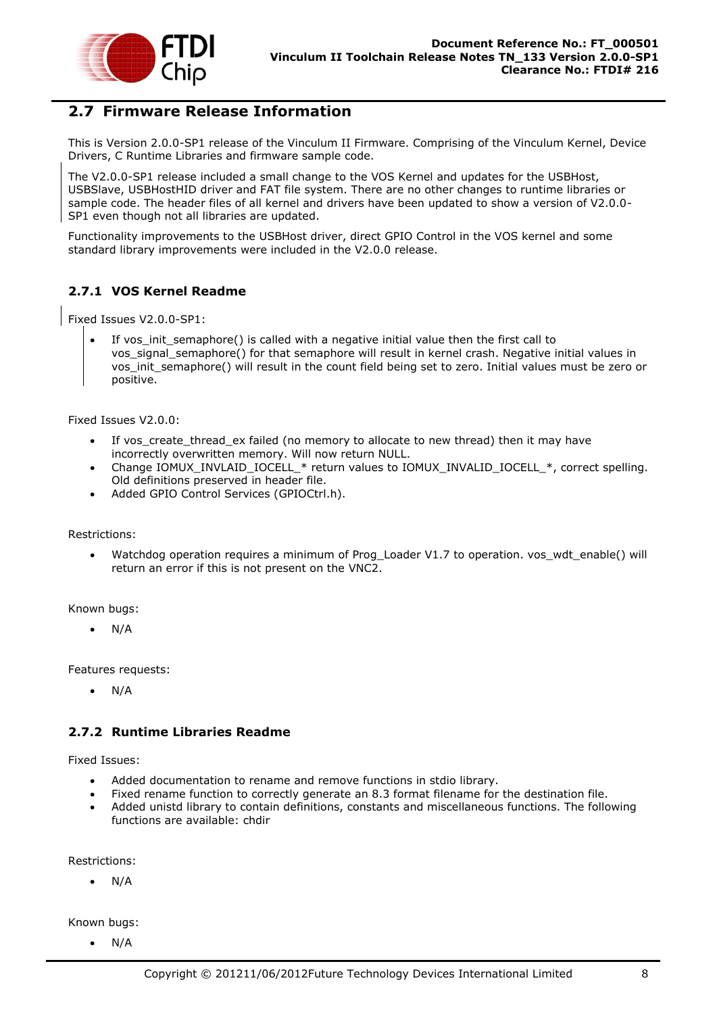

### <span id="page-8-0"></span>**2.7 Firmware Release Information**

This is Version 2.0.0-SP1 release of the Vinculum II Firmware. Comprising of the Vinculum Kernel, Device Drivers, C Runtime Libraries and firmware sample code.

The V2.0.0-SP1 release included a small change to the VOS Kernel and updates for the USBHost, USBSlave, USBHostHID driver and FAT file system. There are no other changes to runtime libraries or sample code. The header files of all kernel and drivers have been updated to show a version of V2.0.0- SP1 even though not all libraries are updated.

Functionality improvements to the USBHost driver, direct GPIO Control in the VOS kernel and some standard library improvements were included in the V2.0.0 release.

#### <span id="page-8-1"></span>**2.7.1 VOS Kernel Readme**

Fixed Issues V2.0.0-SP1:

 If vos\_init\_semaphore() is called with a negative initial value then the first call to vos\_signal\_semaphore() for that semaphore will result in kernel crash. Negative initial values in vos init semaphore() will result in the count field being set to zero. Initial values must be zero or positive.

Fixed Issues V2.0.0:

- If vos\_create\_thread\_ex failed (no memory to allocate to new thread) then it may have incorrectly overwritten memory. Will now return NULL.
- Change IOMUX\_INVLAID\_IOCELL\_\* return values to IOMUX\_INVALID\_IOCELL\_\*, correct spelling. Old definitions preserved in header file.
- Added GPIO Control Services (GPIOCtrl.h).

Restrictions:

 Watchdog operation requires a minimum of Prog\_Loader V1.7 to operation. vos\_wdt\_enable() will return an error if this is not present on the VNC2.

Known bugs:

 $\bullet$  N/A

Features requests:

 $\bullet$  N/A

#### <span id="page-8-2"></span>**2.7.2 Runtime Libraries Readme**

Fixed Issues:

- Added documentation to rename and remove functions in stdio library.
- Fixed rename function to correctly generate an 8.3 format filename for the destination file.
- Added unistd library to contain definitions, constants and miscellaneous functions. The following functions are available: chdir

Restrictions:

N/A

Known bugs:

 $\bullet$  N/A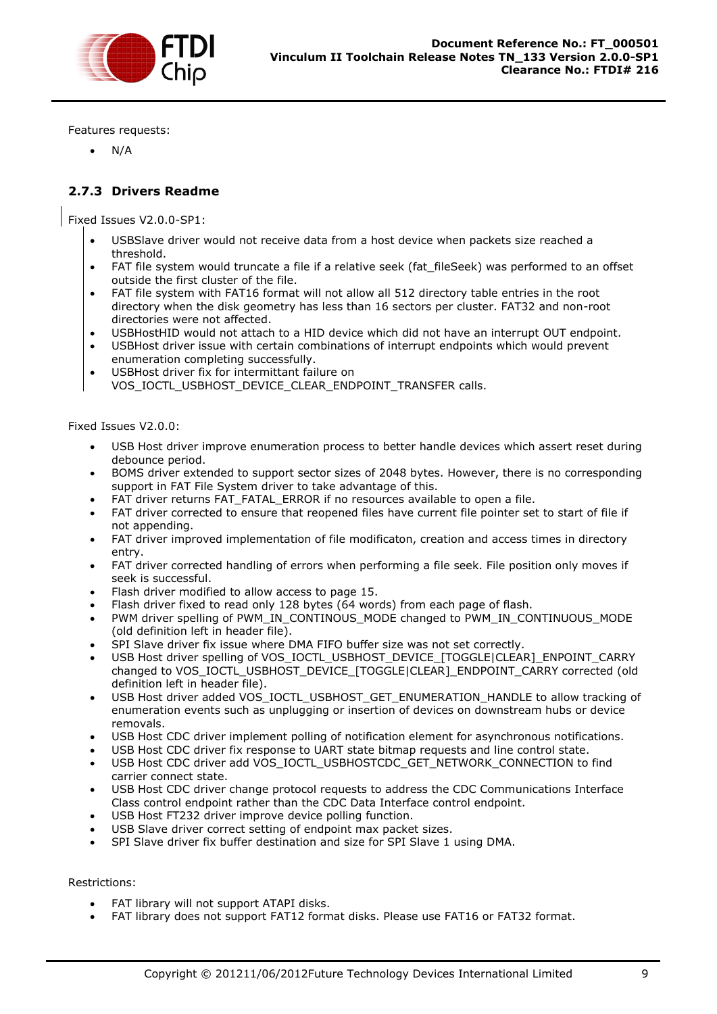

Features requests:

N/A

#### <span id="page-9-0"></span>**2.7.3 Drivers Readme**

Fixed Issues V2.0.0-SP1:

- USBSlave driver would not receive data from a host device when packets size reached a threshold.
- FAT file system would truncate a file if a relative seek (fat fileSeek) was performed to an offset outside the first cluster of the file.
- FAT file system with FAT16 format will not allow all 512 directory table entries in the root directory when the disk geometry has less than 16 sectors per cluster. FAT32 and non-root directories were not affected.
- USBHostHID would not attach to a HID device which did not have an interrupt OUT endpoint.
- USBHost driver issue with certain combinations of interrupt endpoints which would prevent enumeration completing successfully.
- USBHost driver fix for intermittant failure on VOS\_IOCTL\_USBHOST\_DEVICE\_CLEAR\_ENDPOINT\_TRANSFER calls.

Fixed Issues V2.0.0:

- USB Host driver improve enumeration process to better handle devices which assert reset during debounce period.
- BOMS driver extended to support sector sizes of 2048 bytes. However, there is no corresponding support in FAT File System driver to take advantage of this.
- FAT driver returns FAT\_FATAL\_ERROR if no resources available to open a file.
- FAT driver corrected to ensure that reopened files have current file pointer set to start of file if not appending.
- FAT driver improved implementation of file modificaton, creation and access times in directory entry.
- FAT driver corrected handling of errors when performing a file seek. File position only moves if seek is successful.
- Flash driver modified to allow access to page 15.
- Flash driver fixed to read only 128 bytes (64 words) from each page of flash.
- PWM driver spelling of PWM\_IN\_CONTINOUS\_MODE changed to PWM\_IN\_CONTINUOUS\_MODE (old definition left in header file).
- SPI Slave driver fix issue where DMA FIFO buffer size was not set correctly.
- USB Host driver spelling of VOS\_IOCTL\_USBHOST\_DEVICE\_[TOGGLE|CLEAR]\_ENPOINT\_CARRY changed to VOS\_IOCTL\_USBHOST\_DEVICE\_[TOGGLE|CLEAR]\_ENDPOINT\_CARRY corrected (old definition left in header file).
- USB Host driver added VOS\_IOCTL\_USBHOST\_GET\_ENUMERATION\_HANDLE to allow tracking of enumeration events such as unplugging or insertion of devices on downstream hubs or device removals.
- USB Host CDC driver implement polling of notification element for asynchronous notifications.
- USB Host CDC driver fix response to UART state bitmap requests and line control state.
- USB Host CDC driver add VOS\_IOCTL\_USBHOSTCDC\_GET\_NETWORK\_CONNECTION to find carrier connect state.
- USB Host CDC driver change protocol requests to address the CDC Communications Interface Class control endpoint rather than the CDC Data Interface control endpoint.
- USB Host FT232 driver improve device polling function.
- USB Slave driver correct setting of endpoint max packet sizes.
- SPI Slave driver fix buffer destination and size for SPI Slave 1 using DMA.

#### Restrictions:

- FAT library will not support ATAPI disks.
- FAT library does not support FAT12 format disks. Please use FAT16 or FAT32 format.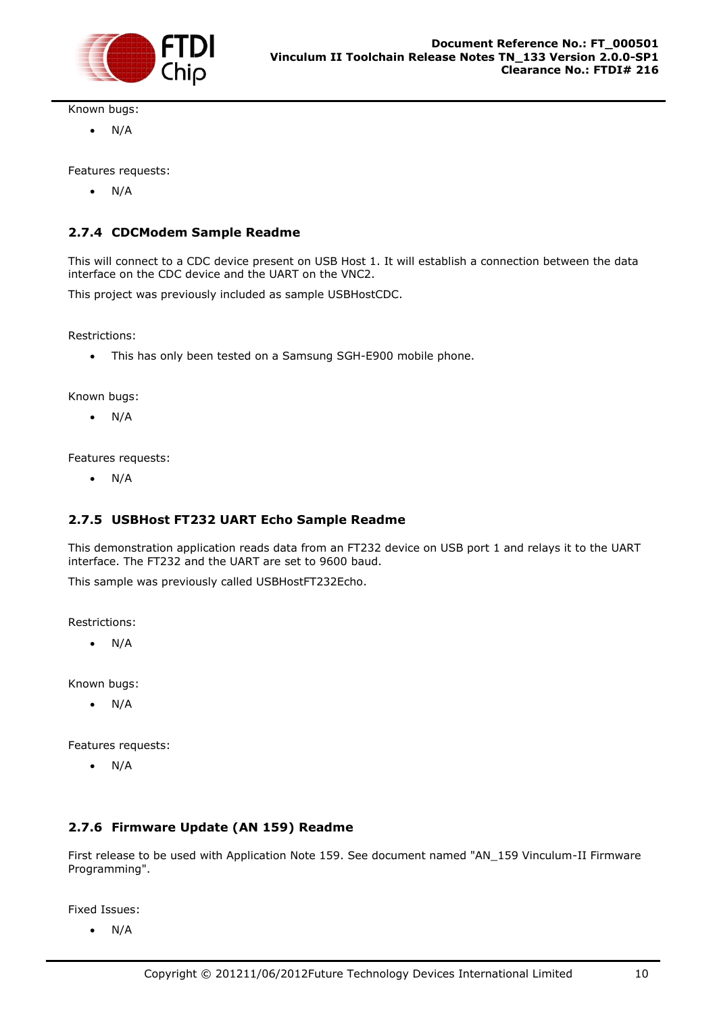

Known bugs:

 $\bullet$  N/A

Features requests:

 $\bullet$  N/A

#### <span id="page-10-0"></span>**2.7.4 CDCModem Sample Readme**

This will connect to a CDC device present on USB Host 1. It will establish a connection between the data interface on the CDC device and the UART on the VNC2.

This project was previously included as sample USBHostCDC.

Restrictions:

This has only been tested on a Samsung SGH-E900 mobile phone.

Known bugs:

 $\bullet$  N/A

Features requests:

 $\bullet$  N/A

#### <span id="page-10-1"></span>**2.7.5 USBHost FT232 UART Echo Sample Readme**

This demonstration application reads data from an FT232 device on USB port 1 and relays it to the UART interface. The FT232 and the UART are set to 9600 baud.

This sample was previously called USBHostFT232Echo.

Restrictions:

 $\bullet$  N/A

Known bugs:

 $\bullet$  N/A

Features requests:

 $\bullet$  N/A

#### <span id="page-10-2"></span>**2.7.6 Firmware Update (AN 159) Readme**

First release to be used with Application Note 159. See document named "AN\_159 Vinculum-II Firmware Programming".

Fixed Issues:

 $\bullet$  N/A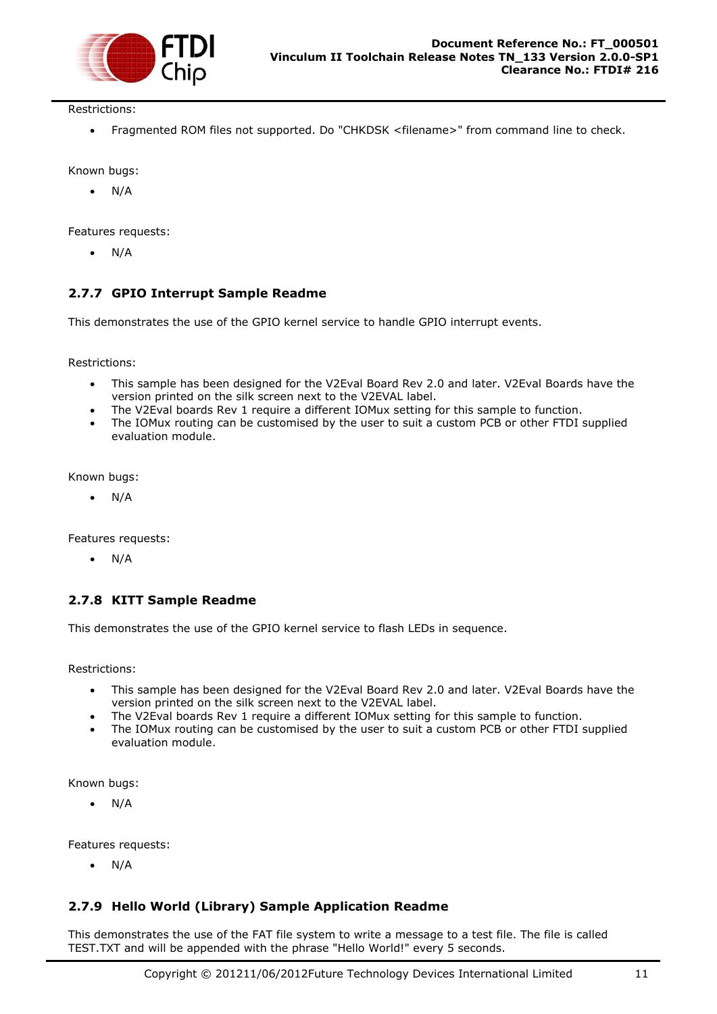

Restrictions:

Fragmented ROM files not supported. Do "CHKDSK <filename>" from command line to check.

Known bugs:

N/A

Features requests:

 $\bullet$  N/A

#### <span id="page-11-0"></span>**2.7.7 GPIO Interrupt Sample Readme**

This demonstrates the use of the GPIO kernel service to handle GPIO interrupt events.

Restrictions:

- This sample has been designed for the V2Eval Board Rev 2.0 and later. V2Eval Boards have the version printed on the silk screen next to the V2EVAL label.
- The V2Eval boards Rev 1 require a different IOMux setting for this sample to function.
- The IOMux routing can be customised by the user to suit a custom PCB or other FTDI supplied evaluation module.

Known bugs:

 $\bullet$  N/A

Features requests:

N/A

#### <span id="page-11-1"></span>**2.7.8 KITT Sample Readme**

This demonstrates the use of the GPIO kernel service to flash LEDs in sequence.

Restrictions:

- This sample has been designed for the V2Eval Board Rev 2.0 and later. V2Eval Boards have the version printed on the silk screen next to the V2EVAL label.
- The V2Eval boards Rev 1 require a different IOMux setting for this sample to function.
- The IOMux routing can be customised by the user to suit a custom PCB or other FTDI supplied evaluation module.

Known bugs:

N/A

Features requests:

 $\bullet$  N/A

#### <span id="page-11-2"></span>**2.7.9 Hello World (Library) Sample Application Readme**

This demonstrates the use of the FAT file system to write a message to a test file. The file is called TEST.TXT and will be appended with the phrase "Hello World!" every 5 seconds.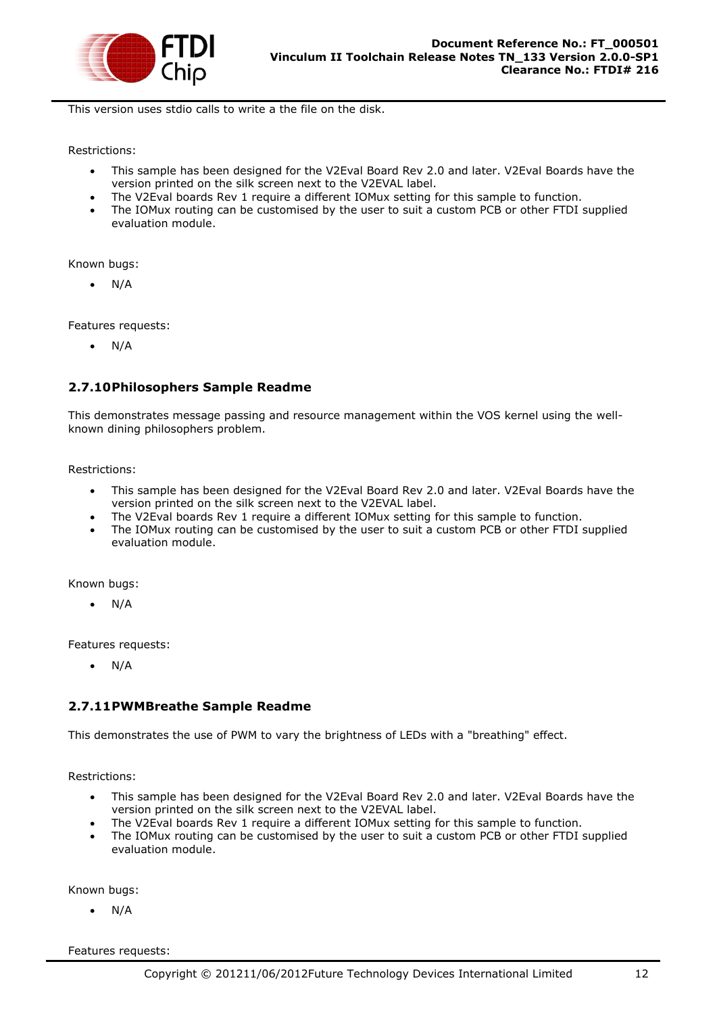

This version uses stdio calls to write a the file on the disk.

Restrictions:

- This sample has been designed for the V2Eval Board Rev 2.0 and later. V2Eval Boards have the version printed on the silk screen next to the V2EVAL label.
- The V2Eval boards Rev 1 require a different IOMux setting for this sample to function.
- The IOMux routing can be customised by the user to suit a custom PCB or other FTDI supplied evaluation module.

Known bugs:

 $\bullet$  N/A

Features requests:

 $\bullet$  N/A

#### <span id="page-12-0"></span>**2.7.10Philosophers Sample Readme**

This demonstrates message passing and resource management within the VOS kernel using the wellknown dining philosophers problem.

Restrictions:

- This sample has been designed for the V2Eval Board Rev 2.0 and later. V2Eval Boards have the version printed on the silk screen next to the V2EVAL label.
- The V2Eval boards Rev 1 require a different IOMux setting for this sample to function.
- The IOMux routing can be customised by the user to suit a custom PCB or other FTDI supplied evaluation module.

Known bugs:

 $\bullet$  N/A

Features requests:

N/A

#### <span id="page-12-1"></span>**2.7.11PWMBreathe Sample Readme**

This demonstrates the use of PWM to vary the brightness of LEDs with a "breathing" effect.

Restrictions:

- This sample has been designed for the V2Eval Board Rev 2.0 and later. V2Eval Boards have the version printed on the silk screen next to the V2EVAL label.
- The V2Eval boards Rev 1 require a different IOMux setting for this sample to function.
- The IOMux routing can be customised by the user to suit a custom PCB or other FTDI supplied evaluation module.

Known bugs:

 $\bullet$  N/A

Features requests: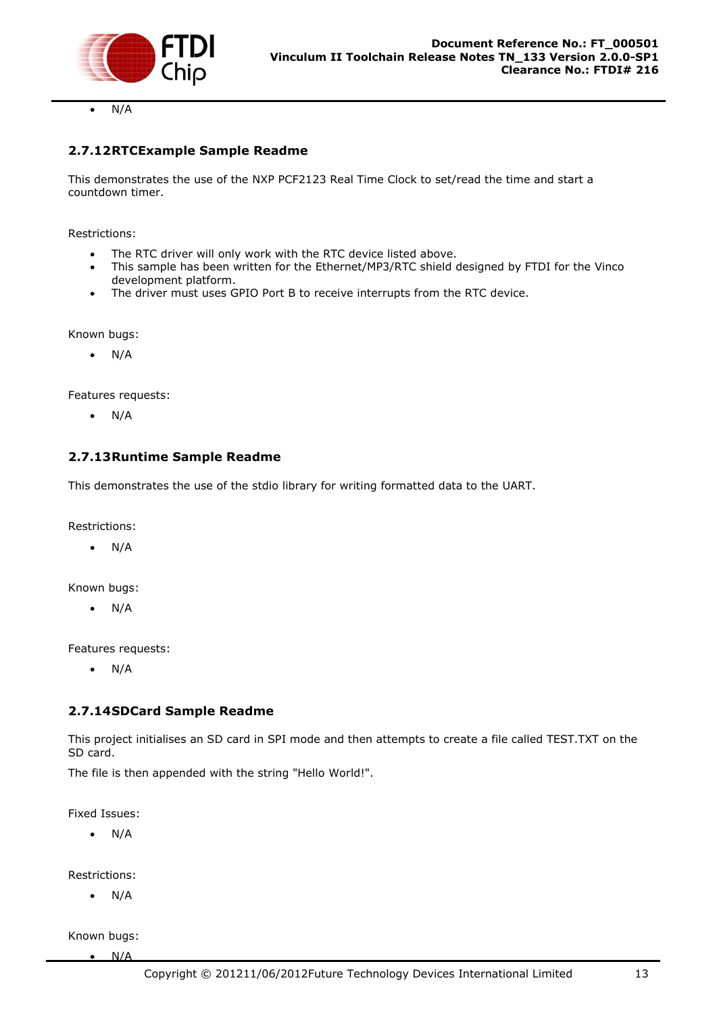

N/A

#### <span id="page-13-0"></span>**2.7.12RTCExample Sample Readme**

This demonstrates the use of the NXP PCF2123 Real Time Clock to set/read the time and start a countdown timer.

Restrictions:

- The RTC driver will only work with the RTC device listed above.
- This sample has been written for the Ethernet/MP3/RTC shield designed by FTDI for the Vinco development platform.
- The driver must uses GPIO Port B to receive interrupts from the RTC device.

Known bugs:

N/A

Features requests:

 $\bullet$  N/A

#### <span id="page-13-1"></span>**2.7.13Runtime Sample Readme**

This demonstrates the use of the stdio library for writing formatted data to the UART.

Restrictions:

 $\bullet$  N/A

Known bugs:

 $\bullet$  N/A

Features requests:

 $\bullet$  N/A

#### <span id="page-13-2"></span>**2.7.14SDCard Sample Readme**

This project initialises an SD card in SPI mode and then attempts to create a file called TEST.TXT on the SD card.

The file is then appended with the string "Hello World!".

Fixed Issues:

 $\bullet$  N/A

Restrictions:

N/A

Known bugs:

 $\bullet$  N/A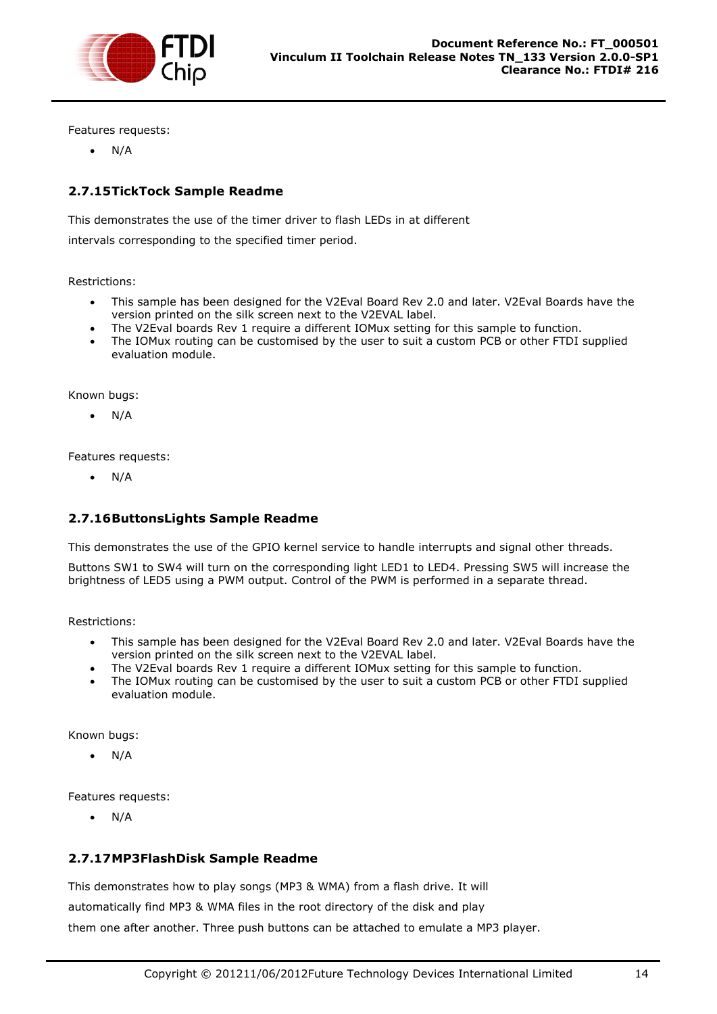

Features requests:

 $\bullet$  N/A

#### <span id="page-14-0"></span>**2.7.15TickTock Sample Readme**

This demonstrates the use of the timer driver to flash LEDs in at different

intervals corresponding to the specified timer period.

Restrictions:

- This sample has been designed for the V2Eval Board Rev 2.0 and later. V2Eval Boards have the version printed on the silk screen next to the V2EVAL label.
- The V2Eval boards Rev 1 require a different IOMux setting for this sample to function.
- The IOMux routing can be customised by the user to suit a custom PCB or other FTDI supplied evaluation module.

Known bugs:

 $\bullet$  N/A

Features requests:

N/A

#### <span id="page-14-1"></span>**2.7.16ButtonsLights Sample Readme**

This demonstrates the use of the GPIO kernel service to handle interrupts and signal other threads.

Buttons SW1 to SW4 will turn on the corresponding light LED1 to LED4. Pressing SW5 will increase the brightness of LED5 using a PWM output. Control of the PWM is performed in a separate thread.

Restrictions:

- This sample has been designed for the V2Eval Board Rev 2.0 and later. V2Eval Boards have the version printed on the silk screen next to the V2EVAL label.
- The V2Eval boards Rev 1 require a different IOMux setting for this sample to function.
- The IOMux routing can be customised by the user to suit a custom PCB or other FTDI supplied evaluation module.

Known bugs:

 $\bullet$  N/A

Features requests:

N/A

#### <span id="page-14-2"></span>**2.7.17MP3FlashDisk Sample Readme**

This demonstrates how to play songs (MP3 & WMA) from a flash drive. It will

automatically find MP3 & WMA files in the root directory of the disk and play

them one after another. Three push buttons can be attached to emulate a MP3 player.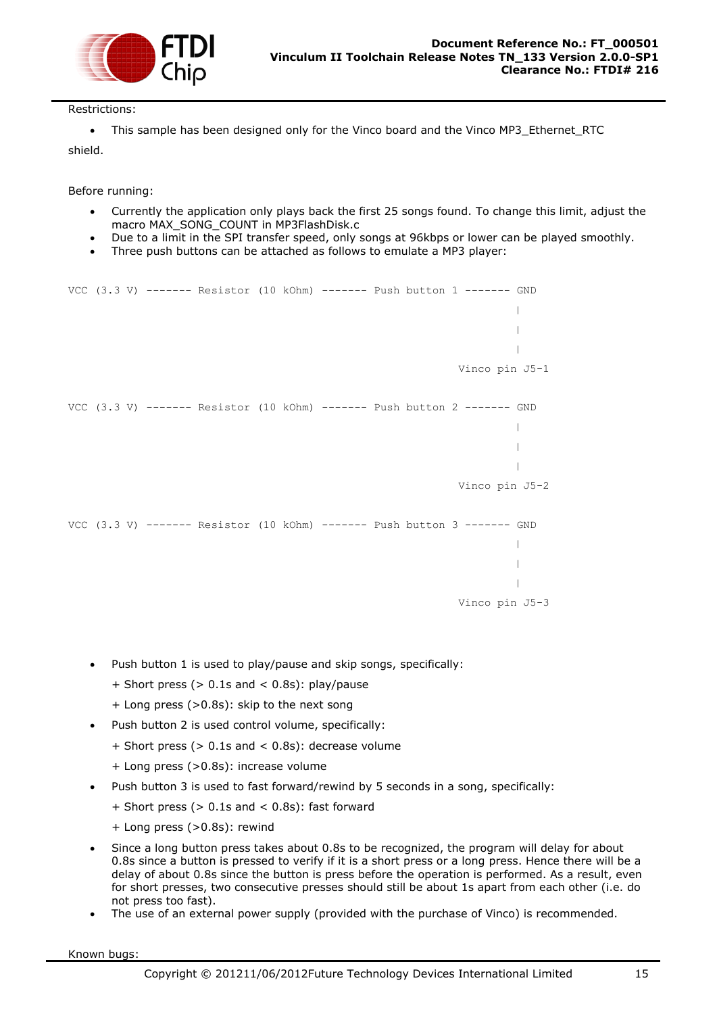

#### Restrictions:

• This sample has been designed only for the Vinco board and the Vinco MP3 Ethernet RTC

shield.

Before running:

- Currently the application only plays back the first 25 songs found. To change this limit, adjust the macro MAX\_SONG\_COUNT in MP3FlashDisk.c
- Due to a limit in the SPI transfer speed, only songs at 96kbps or lower can be played smoothly.
- Three push buttons can be attached as follows to emulate a MP3 player:

```
VCC (3.3 V) ------- Resistor (10 kOhm) ------- Push button 1 ------- GND
                                                                                |
                                                                                |
                                                                               \|Vinco pin J5-1
VCC (3.3 V) ------- Resistor (10 kOhm) ------- Push button 2 ------- GND
                                                                                |
                                                                               \mathbf{I}\overline{\phantom{a}}Vinco pin J5-2
VCC (3.3 V) ------- Resistor (10 kOhm) ------- Push button 3 ------- GND
                                                                               \| |
                                                                                |
                                                                     Vinco pin J5-3
```
- Push button 1 is used to play/pause and skip songs, specifically:
	- + Short press (> 0.1s and < 0.8s): play/pause
	- + Long press (>0.8s): skip to the next song
- Push button 2 is used control volume, specifically:
	- + Short press (> 0.1s and < 0.8s): decrease volume
	- + Long press (>0.8s): increase volume
- Push button 3 is used to fast forward/rewind by 5 seconds in a song, specifically:
	- $+$  Short press ( $> 0.1$ s and  $< 0.8$ s): fast forward
	- + Long press (>0.8s): rewind
- Since a long button press takes about 0.8s to be recognized, the program will delay for about 0.8s since a button is pressed to verify if it is a short press or a long press. Hence there will be a delay of about 0.8s since the button is press before the operation is performed. As a result, even for short presses, two consecutive presses should still be about 1s apart from each other (i.e. do not press too fast).
- The use of an external power supply (provided with the purchase of Vinco) is recommended.

Known bugs: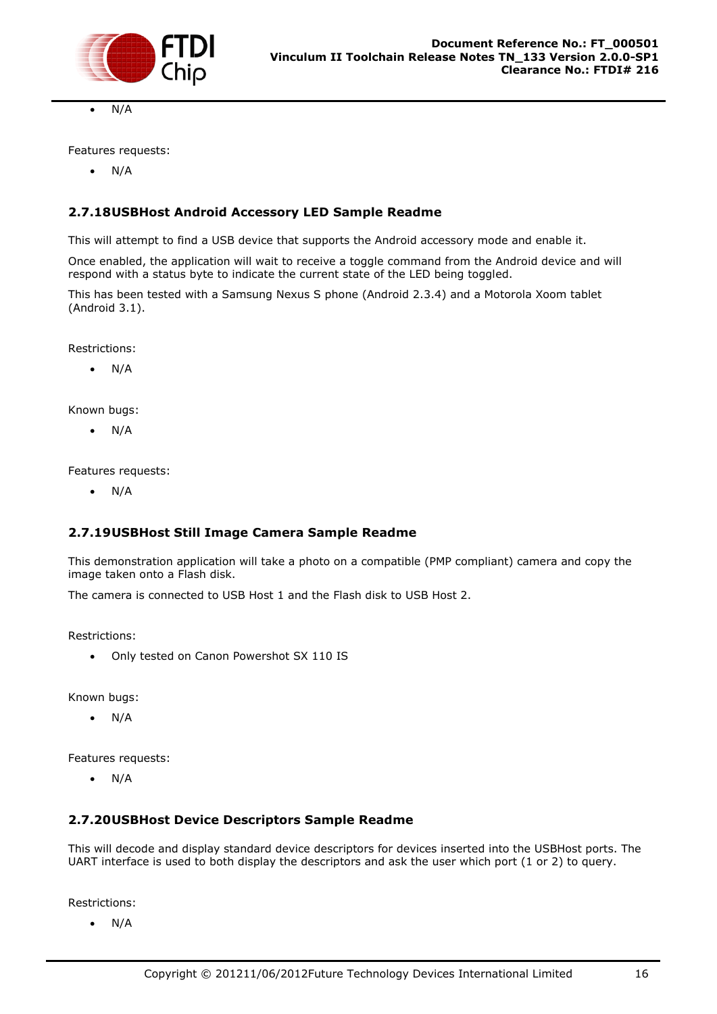

N/A

Features requests:

 $\bullet$  N/A

#### <span id="page-16-0"></span>**2.7.18USBHost Android Accessory LED Sample Readme**

This will attempt to find a USB device that supports the Android accessory mode and enable it.

Once enabled, the application will wait to receive a toggle command from the Android device and will respond with a status byte to indicate the current state of the LED being toggled.

This has been tested with a Samsung Nexus S phone (Android 2.3.4) and a Motorola Xoom tablet (Android 3.1).

Restrictions:

N/A

Known bugs:

 $\bullet$  N/A

Features requests:

 $\bullet$  N/A

#### <span id="page-16-1"></span>**2.7.19USBHost Still Image Camera Sample Readme**

This demonstration application will take a photo on a compatible (PMP compliant) camera and copy the image taken onto a Flash disk.

The camera is connected to USB Host 1 and the Flash disk to USB Host 2.

Restrictions:

Only tested on Canon Powershot SX 110 IS

Known bugs:

 $\bullet$  N/A

Features requests:

 $\bullet$  N/A

#### <span id="page-16-2"></span>**2.7.20USBHost Device Descriptors Sample Readme**

This will decode and display standard device descriptors for devices inserted into the USBHost ports. The UART interface is used to both display the descriptors and ask the user which port (1 or 2) to query.

Restrictions:

N/A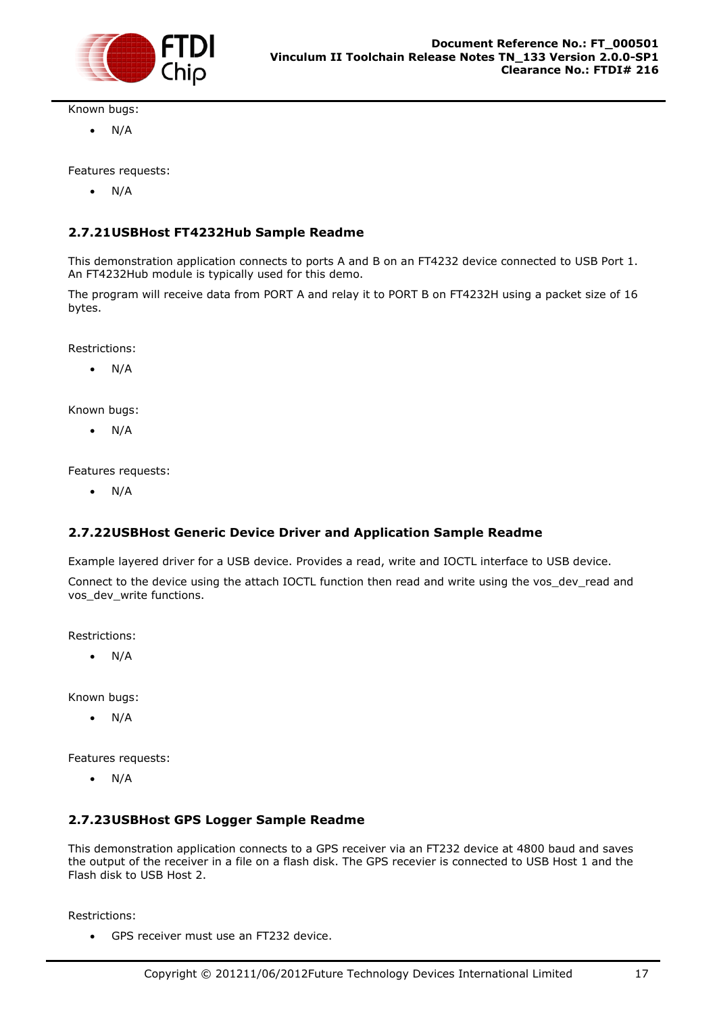

Known bugs:

 $\bullet$  N/A

Features requests:

 $\bullet$  N/A

#### <span id="page-17-0"></span>**2.7.21USBHost FT4232Hub Sample Readme**

This demonstration application connects to ports A and B on an FT4232 device connected to USB Port 1. An FT4232Hub module is typically used for this demo.

The program will receive data from PORT A and relay it to PORT B on FT4232H using a packet size of 16 bytes.

Restrictions:

N/A

Known bugs:

 $\bullet$  N/A

Features requests:

 $\bullet$  N/A

#### <span id="page-17-1"></span>**2.7.22USBHost Generic Device Driver and Application Sample Readme**

Example layered driver for a USB device. Provides a read, write and IOCTL interface to USB device.

Connect to the device using the attach IOCTL function then read and write using the vos\_dev\_read and vos dev write functions.

Restrictions:

 $\bullet$  N/A

Known bugs:

 $\bullet$  N/A

Features requests:

 $\bullet$  N/A

#### <span id="page-17-2"></span>**2.7.23USBHost GPS Logger Sample Readme**

This demonstration application connects to a GPS receiver via an FT232 device at 4800 baud and saves the output of the receiver in a file on a flash disk. The GPS recevier is connected to USB Host 1 and the Flash disk to USB Host 2.

Restrictions:

GPS receiver must use an FT232 device.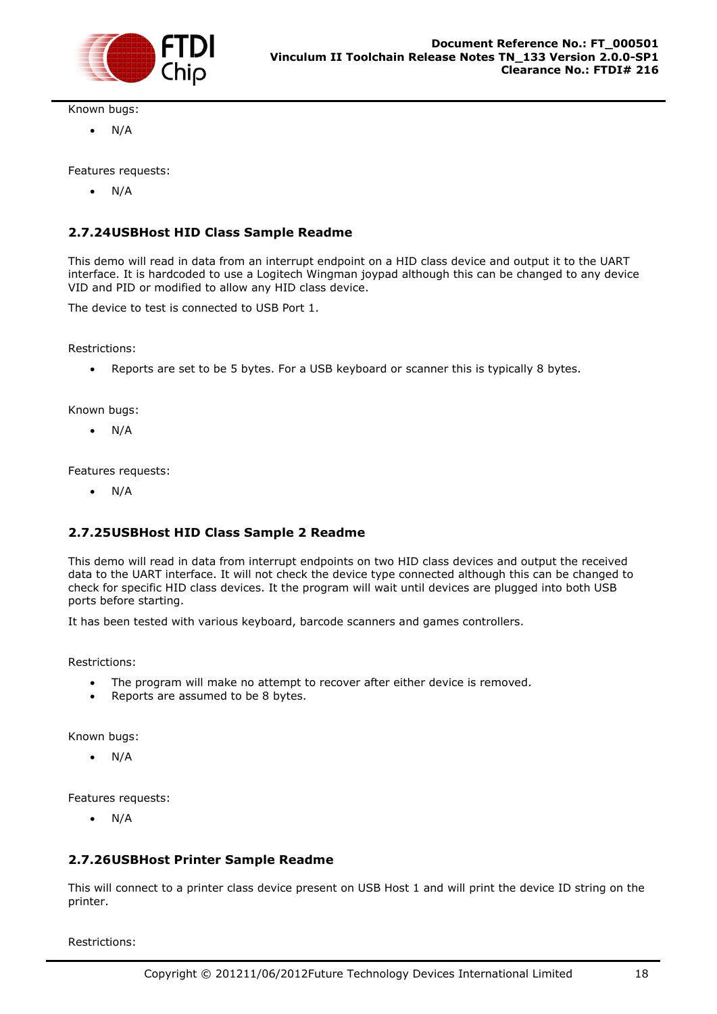

Known bugs:

 $\bullet$  N/A

Features requests:

 $\bullet$  N/A

#### <span id="page-18-0"></span>**2.7.24USBHost HID Class Sample Readme**

This demo will read in data from an interrupt endpoint on a HID class device and output it to the UART interface. It is hardcoded to use a Logitech Wingman joypad although this can be changed to any device VID and PID or modified to allow any HID class device.

The device to test is connected to USB Port 1.

Restrictions:

Reports are set to be 5 bytes. For a USB keyboard or scanner this is typically 8 bytes.

Known bugs:

 $\bullet$  N/A

Features requests:

 $\bullet$  N/A

#### <span id="page-18-1"></span>**2.7.25USBHost HID Class Sample 2 Readme**

This demo will read in data from interrupt endpoints on two HID class devices and output the received data to the UART interface. It will not check the device type connected although this can be changed to check for specific HID class devices. It the program will wait until devices are plugged into both USB ports before starting.

It has been tested with various keyboard, barcode scanners and games controllers.

Restrictions:

- The program will make no attempt to recover after either device is removed.
- Reports are assumed to be 8 bytes.

Known bugs:

N/A

Features requests:

 $\bullet$  N/A

#### <span id="page-18-2"></span>**2.7.26USBHost Printer Sample Readme**

This will connect to a printer class device present on USB Host 1 and will print the device ID string on the printer.

Restrictions: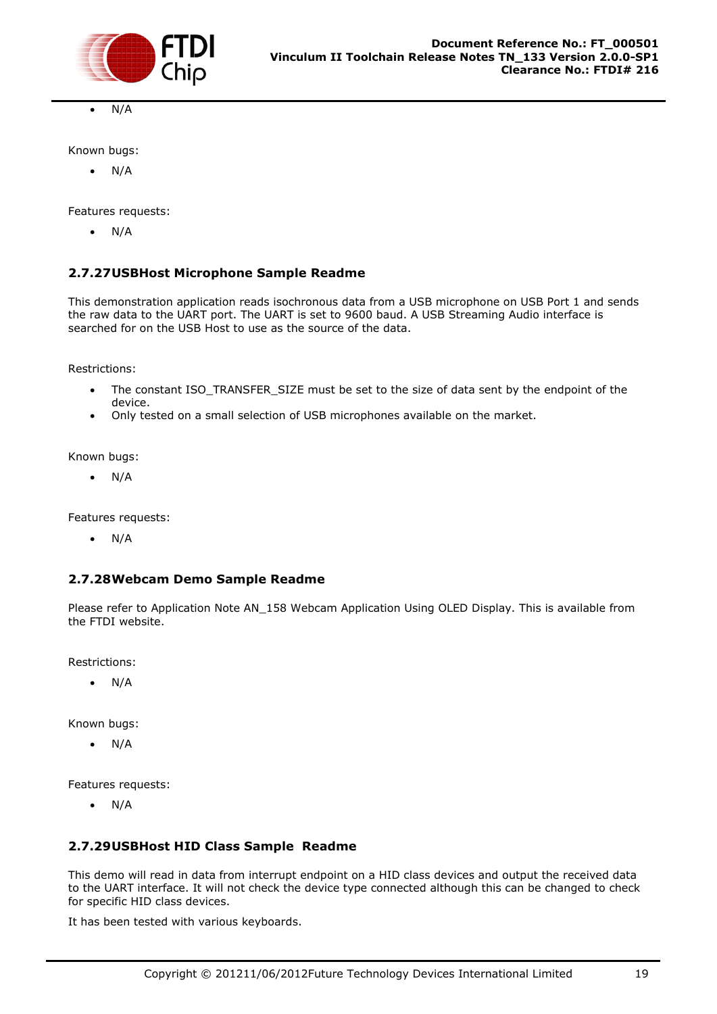

N/A

Known bugs:

 $\bullet$  N/A

Features requests:

 $\bullet$  N/A

#### <span id="page-19-0"></span>**2.7.27USBHost Microphone Sample Readme**

This demonstration application reads isochronous data from a USB microphone on USB Port 1 and sends the raw data to the UART port. The UART is set to 9600 baud. A USB Streaming Audio interface is searched for on the USB Host to use as the source of the data.

Restrictions:

- The constant ISO\_TRANSFER\_SIZE must be set to the size of data sent by the endpoint of the device.
- Only tested on a small selection of USB microphones available on the market.

Known bugs:

 $\bullet$  N/A

Features requests:

 $\bullet$  N/A

#### <span id="page-19-1"></span>**2.7.28Webcam Demo Sample Readme**

Please refer to Application Note AN\_158 Webcam Application Using OLED Display. This is available from the FTDI website.

Restrictions:

 $\bullet$  N/A

Known bugs:

 $\bullet$  N/A

Features requests:

 $\bullet$  N/A

#### <span id="page-19-2"></span>**2.7.29USBHost HID Class Sample Readme**

This demo will read in data from interrupt endpoint on a HID class devices and output the received data to the UART interface. It will not check the device type connected although this can be changed to check for specific HID class devices.

It has been tested with various keyboards.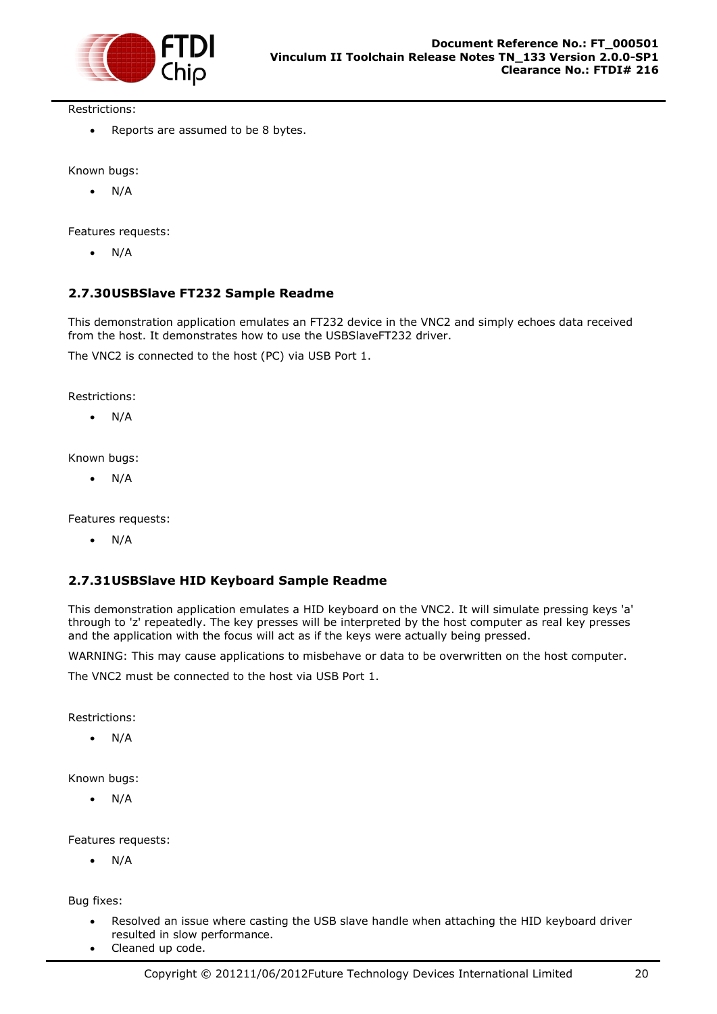

Restrictions:

• Reports are assumed to be 8 bytes.

Known bugs:

 $\bullet$  N/A

Features requests:

 $\bullet$  N/A

#### <span id="page-20-0"></span>**2.7.30USBSlave FT232 Sample Readme**

This demonstration application emulates an FT232 device in the VNC2 and simply echoes data received from the host. It demonstrates how to use the USBSlaveFT232 driver.

The VNC2 is connected to the host (PC) via USB Port 1.

Restrictions:

 $\bullet$  N/A

Known bugs:

 $\bullet$  N/A

Features requests:

 $\bullet$  N/A

#### <span id="page-20-1"></span>**2.7.31USBSlave HID Keyboard Sample Readme**

This demonstration application emulates a HID keyboard on the VNC2. It will simulate pressing keys 'a' through to 'z' repeatedly. The key presses will be interpreted by the host computer as real key presses and the application with the focus will act as if the keys were actually being pressed.

WARNING: This may cause applications to misbehave or data to be overwritten on the host computer.

The VNC2 must be connected to the host via USB Port 1.

Restrictions:

 $\bullet$  N/A

Known bugs:

 $\bullet$  N/A

Features requests:

 $\bullet$  N/A

Bug fixes:

- Resolved an issue where casting the USB slave handle when attaching the HID keyboard driver resulted in slow performance.
- Cleaned up code.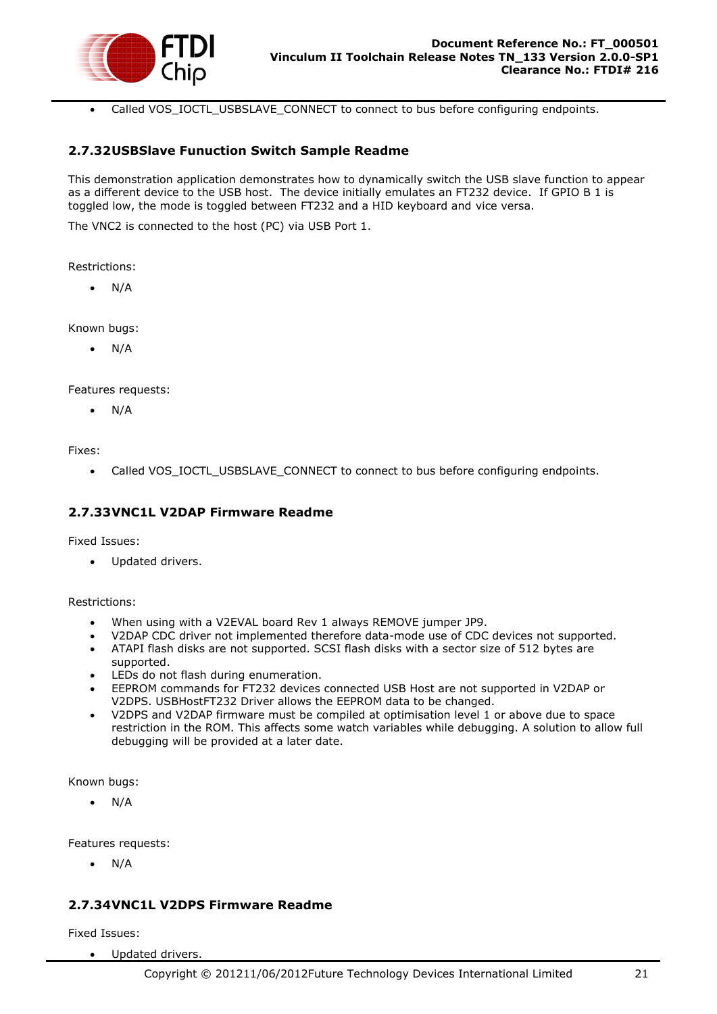

Called VOS\_IOCTL\_USBSLAVE\_CONNECT to connect to bus before configuring endpoints.

#### <span id="page-21-0"></span>**2.7.32USBSlave Funuction Switch Sample Readme**

This demonstration application demonstrates how to dynamically switch the USB slave function to appear as a different device to the USB host. The device initially emulates an FT232 device. If GPIO B 1 is toggled low, the mode is toggled between FT232 and a HID keyboard and vice versa.

The VNC2 is connected to the host (PC) via USB Port 1.

Restrictions:

N/A

Known bugs:

 $\bullet$  N/A

Features requests:

N/A

Fixes:

Called VOS\_IOCTL\_USBSLAVE\_CONNECT to connect to bus before configuring endpoints.

#### <span id="page-21-1"></span>**2.7.33VNC1L V2DAP Firmware Readme**

Fixed Issues:

Updated drivers.

Restrictions:

- When using with a V2EVAL board Rev 1 always REMOVE jumper JP9.
- V2DAP CDC driver not implemented therefore data-mode use of CDC devices not supported.
- ATAPI flash disks are not supported. SCSI flash disks with a sector size of 512 bytes are supported.
- LEDs do not flash during enumeration.
- EEPROM commands for FT232 devices connected USB Host are not supported in V2DAP or V2DPS. USBHostFT232 Driver allows the EEPROM data to be changed.
- V2DPS and V2DAP firmware must be compiled at optimisation level 1 or above due to space restriction in the ROM. This affects some watch variables while debugging. A solution to allow full debugging will be provided at a later date.

Known bugs:

 $\bullet$  N/A

Features requests:

 $\bullet$  N/A

#### <span id="page-21-2"></span>**2.7.34VNC1L V2DPS Firmware Readme**

Fixed Issues:

Updated drivers.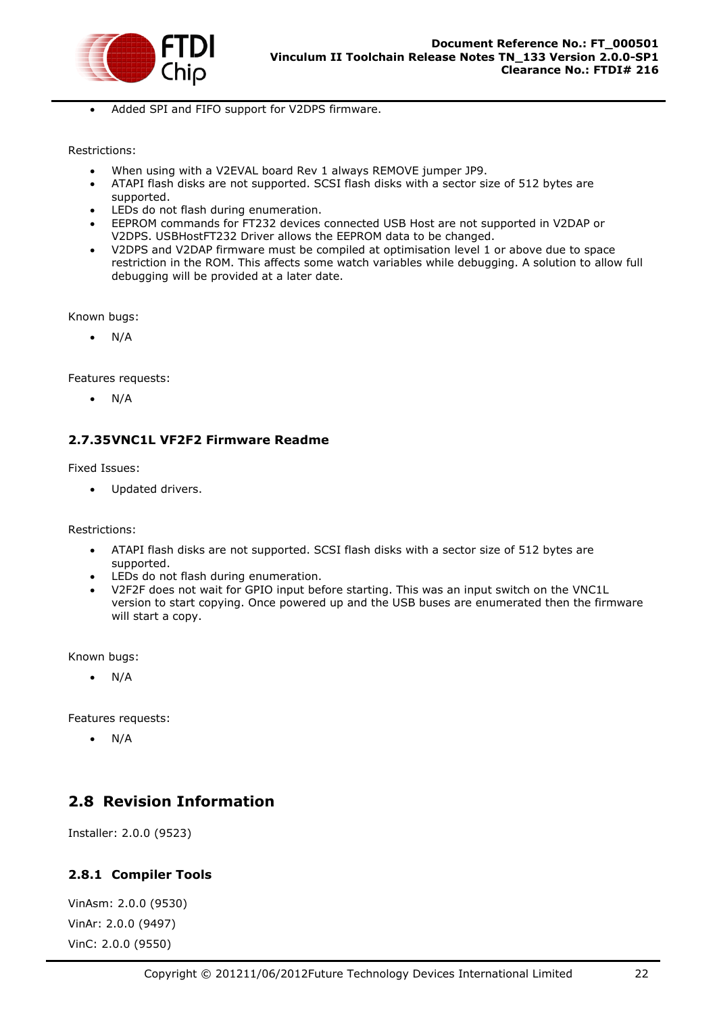

Added SPI and FIFO support for V2DPS firmware.

#### Restrictions:

- When using with a V2EVAL board Rev 1 always REMOVE jumper JP9.
- ATAPI flash disks are not supported. SCSI flash disks with a sector size of 512 bytes are supported.
- LEDs do not flash during enumeration.
- EEPROM commands for FT232 devices connected USB Host are not supported in V2DAP or V2DPS. USBHostFT232 Driver allows the EEPROM data to be changed.
- V2DPS and V2DAP firmware must be compiled at optimisation level 1 or above due to space restriction in the ROM. This affects some watch variables while debugging. A solution to allow full debugging will be provided at a later date.

Known bugs:

 $\bullet$  N/A

Features requests:

 $\bullet$  N/A

#### <span id="page-22-0"></span>**2.7.35VNC1L VF2F2 Firmware Readme**

Fixed Issues:

Updated drivers.

Restrictions:

- ATAPI flash disks are not supported. SCSI flash disks with a sector size of 512 bytes are supported.
- LEDs do not flash during enumeration.
- V2F2F does not wait for GPIO input before starting. This was an input switch on the VNC1L version to start copying. Once powered up and the USB buses are enumerated then the firmware will start a copy.

Known bugs:

N/A

Features requests:

 $\bullet$  N/A

### <span id="page-22-1"></span>**2.8 Revision Information**

Installer: 2.0.0 (9523)

#### <span id="page-22-2"></span>**2.8.1 Compiler Tools**

VinAsm: 2.0.0 (9530) VinAr: 2.0.0 (9497) VinC: 2.0.0 (9550)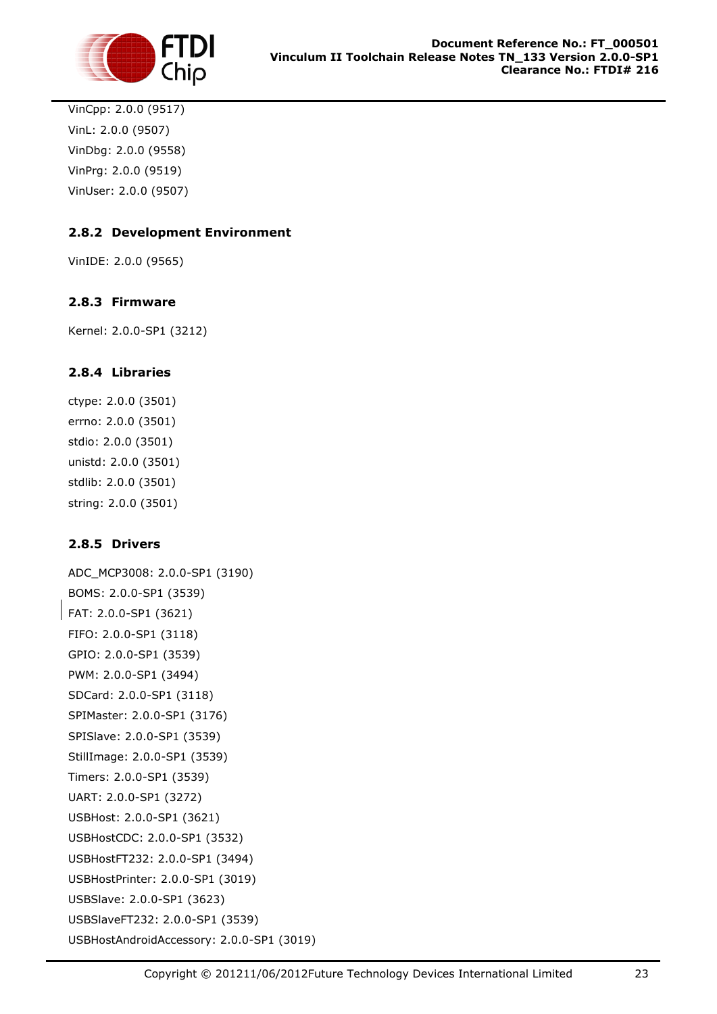

VinCpp: 2.0.0 (9517) VinL: 2.0.0 (9507) VinDbg: 2.0.0 (9558) VinPrg: 2.0.0 (9519) VinUser: 2.0.0 (9507)

### <span id="page-23-0"></span>**2.8.2 Development Environment**

VinIDE: 2.0.0 (9565)

#### <span id="page-23-1"></span>**2.8.3 Firmware**

Kernel: 2.0.0-SP1 (3212)

#### <span id="page-23-2"></span>**2.8.4 Libraries**

ctype: 2.0.0 (3501) errno: 2.0.0 (3501) stdio: 2.0.0 (3501) unistd: 2.0.0 (3501) stdlib: 2.0.0 (3501) string: 2.0.0 (3501)

### <span id="page-23-3"></span>**2.8.5 Drivers**

ADC\_MCP3008: 2.0.0-SP1 (3190) BOMS: 2.0.0-SP1 (3539) FAT: 2.0.0-SP1 (3621) FIFO: 2.0.0-SP1 (3118) GPIO: 2.0.0-SP1 (3539) PWM: 2.0.0-SP1 (3494) SDCard: 2.0.0-SP1 (3118) SPIMaster: 2.0.0-SP1 (3176) SPISlave: 2.0.0-SP1 (3539) StillImage: 2.0.0-SP1 (3539) Timers: 2.0.0-SP1 (3539) UART: 2.0.0-SP1 (3272) USBHost: 2.0.0-SP1 (3621) USBHostCDC: 2.0.0-SP1 (3532) USBHostFT232: 2.0.0-SP1 (3494) USBHostPrinter: 2.0.0-SP1 (3019) USBSlave: 2.0.0-SP1 (3623) USBSlaveFT232: 2.0.0-SP1 (3539) USBHostAndroidAccessory: 2.0.0-SP1 (3019)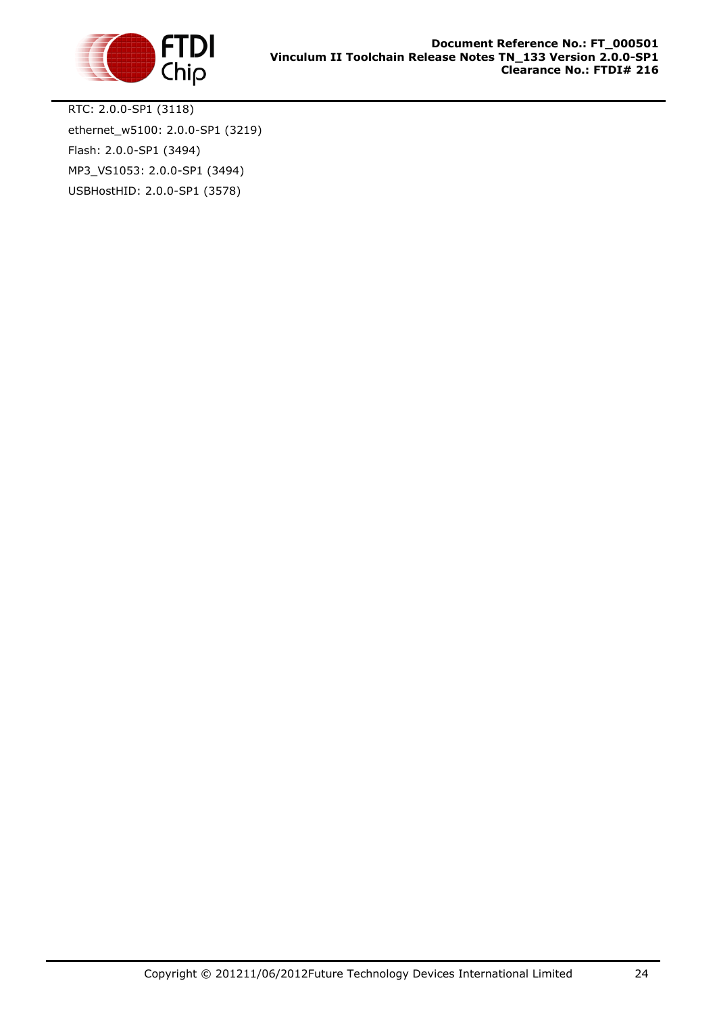

RTC: 2.0.0-SP1 (3118) ethernet\_w5100: 2.0.0-SP1 (3219) Flash: 2.0.0-SP1 (3494) MP3\_VS1053: 2.0.0-SP1 (3494) USBHostHID: 2.0.0-SP1 (3578)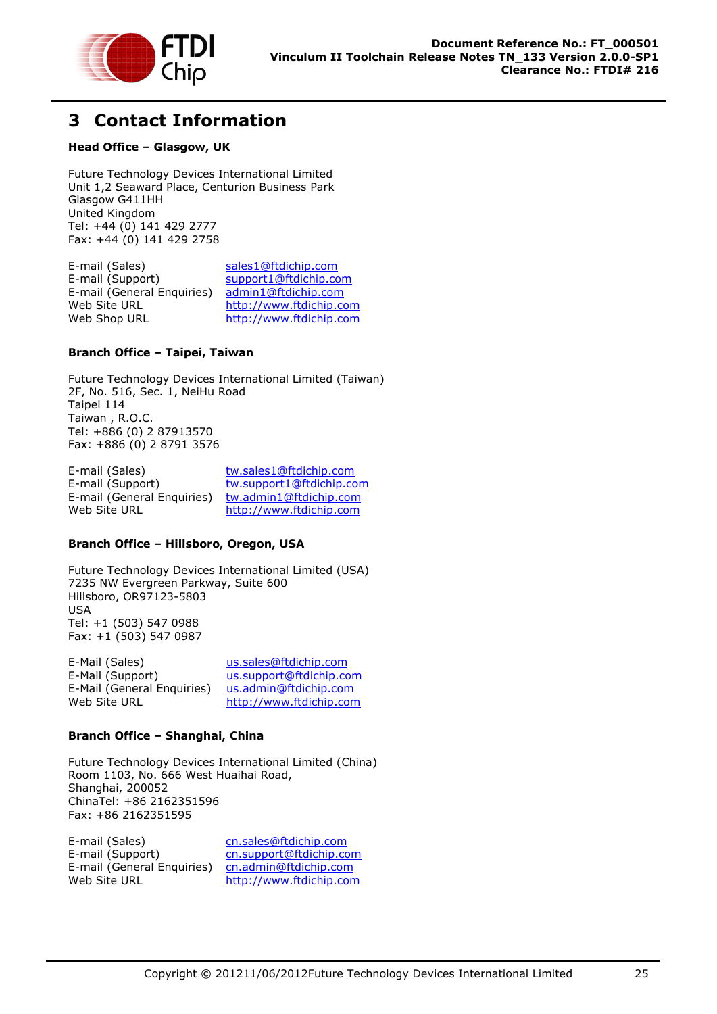

# <span id="page-25-0"></span>**3 Contact Information**

#### **Head Office – Glasgow, UK**

Future Technology Devices International Limited Unit 1,2 Seaward Place, Centurion Business Park Glasgow G411HH United Kingdom Tel: +44 (0) 141 429 2777 Fax: +44 (0) 141 429 2758

| E-mail (Sales)             | sales1@ftdichip.com     |
|----------------------------|-------------------------|
| E-mail (Support)           | support1@ftdichip.com   |
| E-mail (General Enquiries) | admin1@ftdichip.com     |
| Web Site URL               | http://www.ftdichip.com |
| Web Shop URL               | http://www.ftdichip.com |
|                            |                         |

#### **Branch Office – Taipei, Taiwan**

Future Technology Devices International Limited (Taiwan) 2F, No. 516, Sec. 1, NeiHu Road Taipei 114 Taiwan , R.O.C. Tel: +886 (0) 2 87913570 Fax: +886 (0) 2 8791 3576

E-mail (Sales) [tw.sales1@ftdichip.com](mailto:tw.sales1@ftdichip.com) E-mail (Support) [tw.support1@ftdichip.com](mailto:tw.support1@ftdichip.com) E-mail (General Enquiries) [tw.admin1@ftdichip.com](mailto:tw.admin1@ftdichip.com) Web Site URL [http://www.ftdichip.com](http://www.ftdichip.com/)

#### **Branch Office – Hillsboro, Oregon, USA**

Future Technology Devices International Limited (USA) 7235 NW Evergreen Parkway, Suite 600 Hillsboro, OR97123-5803 USA Tel: +1 (503) 547 0988 Fax: +1 (503) 547 0987

| E-Mail (Sales)             | us.sales@ftdichip.com   |
|----------------------------|-------------------------|
| E-Mail (Support)           | us.support@ftdichip.com |
| E-Mail (General Enquiries) | us.admin@ftdichip.com   |
| Web Site URL               | http://www.ftdichip.com |

#### **Branch Office – Shanghai, China**

Future Technology Devices International Limited (China) Room 1103, No. 666 West Huaihai Road, Shanghai, 200052 ChinaTel: +86 2162351596 Fax: +86 2162351595

E-mail (Sales) [cn.sales@ftdichip.com](mailto:cn.sales@ftdichip.com) E-mail (Support) [cn.support@ftdichip.com](mailto:cn.support@ftdichip.com) E-mail (General Enquiries) [cn.admin@ftdichip.com](mailto:cn.admin@ftdichip.com) Web Site URL [http://www.ftdichip.com](http://www.ftdichip.com/)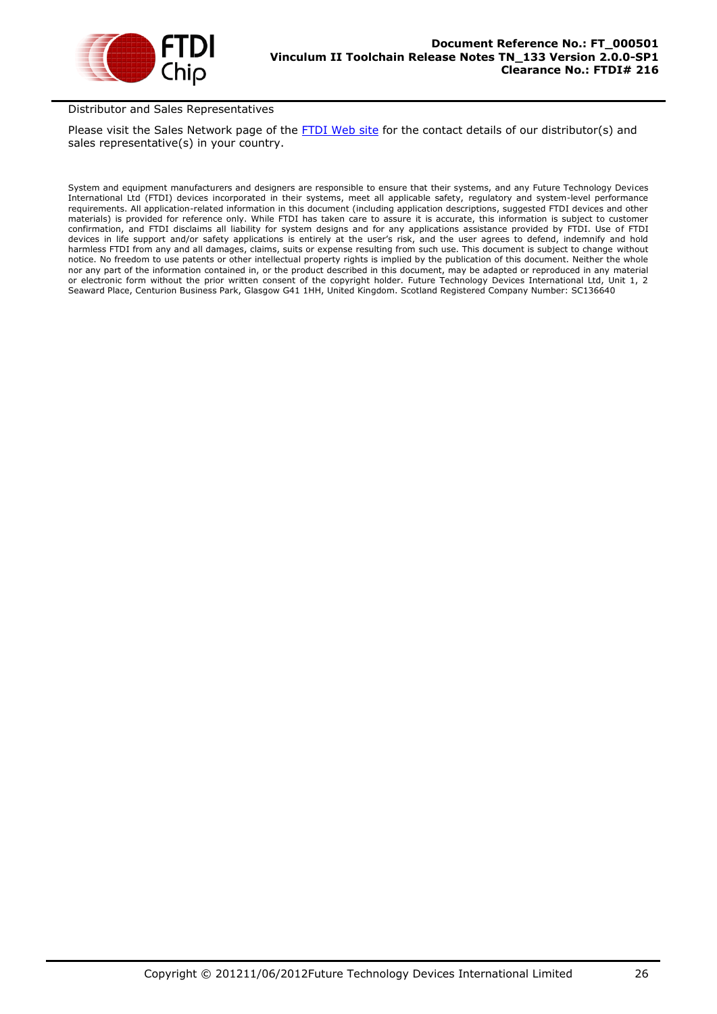

#### Distributor and Sales Representatives

Please visit the Sales Network page of the [FTDI Web site](http://ftdichip.com/) for the contact details of our distributor(s) and sales representative(s) in your country.

System and equipment manufacturers and designers are responsible to ensure that their systems, and any Future Technology Devices International Ltd (FTDI) devices incorporated in their systems, meet all applicable safety, regulatory and system-level performance requirements. All application-related information in this document (including application descriptions, suggested FTDI devices and other materials) is provided for reference only. While FTDI has taken care to assure it is accurate, this information is subject to customer confirmation, and FTDI disclaims all liability for system designs and for any applications assistance provided by FTDI. Use of FTDI devices in life support and/or safety applications is entirely at the user's risk, and the user agrees to defend, indemnify and hold harmless FTDI from any and all damages, claims, suits or expense resulting from such use. This document is subject to change without notice. No freedom to use patents or other intellectual property rights is implied by the publication of this document. Neither the whole nor any part of the information contained in, or the product described in this document, may be adapted or reproduced in any material or electronic form without the prior written consent of the copyright holder. Future Technology Devices International Ltd, Unit 1, 2 Seaward Place, Centurion Business Park, Glasgow G41 1HH, United Kingdom. Scotland Registered Company Number: SC136640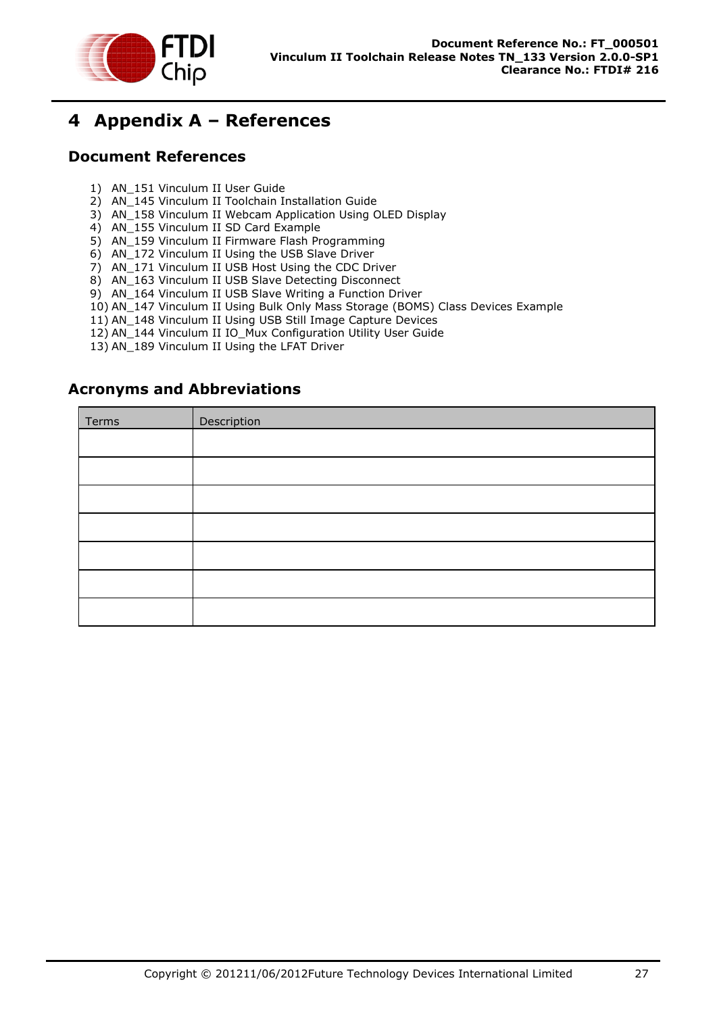

# <span id="page-27-0"></span>**4 Appendix A – References**

### <span id="page-27-1"></span>**Document References**

- 1) AN\_151 Vinculum II User Guide
- 2) AN\_145 Vinculum II Toolchain Installation Guide
- 3) AN\_158 Vinculum II Webcam Application Using OLED Display
- 4) AN\_155 Vinculum II SD Card Example
- 5) AN\_159 Vinculum II Firmware Flash Programming
- 6) AN\_172 Vinculum II Using the USB Slave Driver
- 7) AN 171 Vinculum II USB Host Using the CDC Driver
- 8) AN\_163 Vinculum II USB Slave Detecting Disconnect
- 9) AN\_164 Vinculum II USB Slave Writing a Function Driver
- 10) AN\_147 Vinculum II Using Bulk Only Mass Storage (BOMS) Class Devices Example
- 11) AN\_148 Vinculum II Using USB Still Image Capture Devices
- 12) AN\_144 Vinculum II IO\_Mux Configuration Utility User Guide
- 13) AN\_189 Vinculum II Using the LFAT Driver

### <span id="page-27-2"></span>**Acronyms and Abbreviations**

| Terms | Description |
|-------|-------------|
|       |             |
|       |             |
|       |             |
|       |             |
|       |             |
|       |             |
|       |             |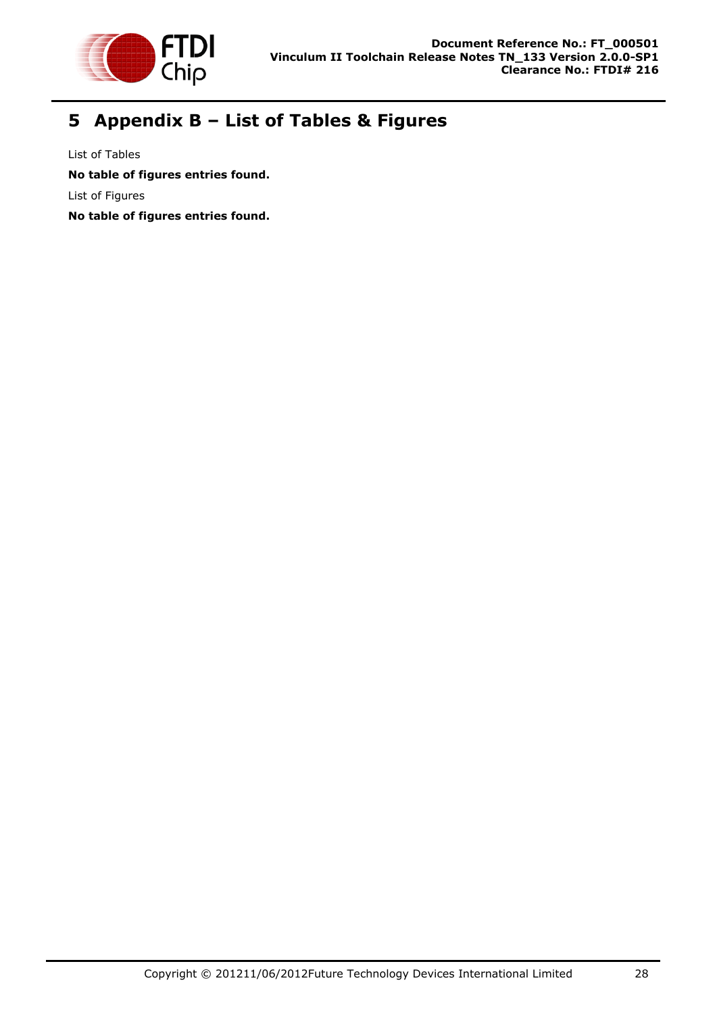

# <span id="page-28-0"></span>**5 Appendix B – List of Tables & Figures**

List of Tables **No table of figures entries found.** List of Figures **No table of figures entries found.**